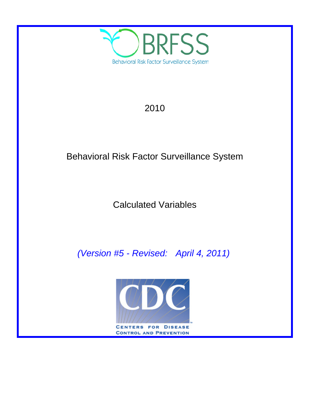

# 2010

# Behavioral Risk Factor Surveillance System

# Calculated Variables

*(Version #5 - Revised: April 4, 2011)*

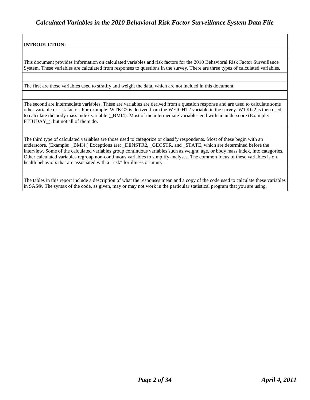### **INTRODUCTION:**

This document provides information on calculated variables and risk factors for the 2010 Behavioral Risk Factor Surveillance System. These variables are calculated from responses to questions in the survey. There are three types of calculated variables.

The first are those variables used to stratify and weight the data, which are not inclued in this document.

The second are intermediate variables. These are variables are derived from a question response and are used to calculate some other variable or risk factor. For example: WTKG2 is derived from the WEIGHT2 variable in the survey. WTKG2 is then used to calculate the body mass index variable (\_BMI4). Most of the intermediate variables end with an underscore (Example: FTJUDAY\_), but not all of them do.

The third type of calculated variables are those used to categorize or classify respondents. Most of these begin with an underscore. (Example: BMI4.) Exceptions are: DENSTR2, GEOSTR, and STATE, which are determined before the interview. Some of the calculated variables group continuous variables such as weight, age, or body mass index, into categories. Other calculated variables regroup non-continuous variables to simplify analyses. The common focus of these variables is on health behaviors that are associated with a "risk" for illness or injury.

The tables in this report include a description of what the responses mean and a copy of the code used to calculate these variables in SAS®. The syntax of the code, as given, may or may not work in the particular statistical program that you are using.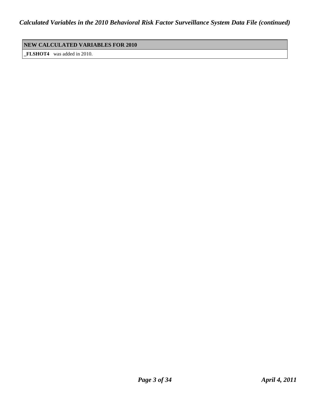### **NEW CALCULATED VARIABLES FOR 2010**

**\_FLSHOT4** was added in 2010.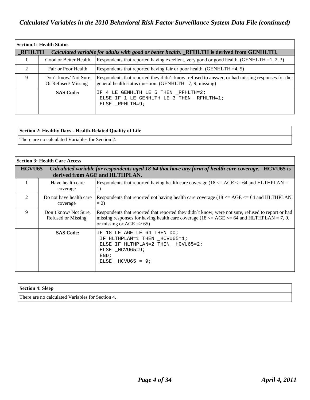|                             | <b>Section 1: Health Status</b>           |                                                                                                                                                                |  |  |
|-----------------------------|-------------------------------------------|----------------------------------------------------------------------------------------------------------------------------------------------------------------|--|--|
| <b>RFHLTH</b>               |                                           | Calculated variable for adults with good or better health. RFHLTH is derived from GENHLTH.                                                                     |  |  |
|                             | Good or Better Health                     | Respondents that reported having excellent, very good or good health. (GENHLTH = 1, 2, 3)                                                                      |  |  |
| $\mathcal{D}_{\mathcal{L}}$ | Fair or Poor Health                       | Respondents that reported having fair or poor health. (GENHLTH $=4, 5$ )                                                                                       |  |  |
| 9                           | Don't know/Not Sure<br>Or Refused/Missing | Respondents that reported they didn't know, refused to answer, or had missing responses for the<br>general health status question. (GENHLTH $=7, 9$ , missing) |  |  |
|                             | <b>SAS Code:</b>                          | IF 4 LE GENHLTH LE 5 THEN RFHLTH=2;<br>ELSE IF 1 LE GENHLTH LE 3 THEN RFHLTH=1;<br>ELSE RFHLTH=9;                                                              |  |  |

| Section 2: Healthy Days - Health-Related Quality of Life |
|----------------------------------------------------------|
| There are no calculated Variables for Section 2.         |

| <b>Section 3: Health Care Access</b> |                                            |                                                                                                                                                                                                                                             |
|--------------------------------------|--------------------------------------------|---------------------------------------------------------------------------------------------------------------------------------------------------------------------------------------------------------------------------------------------|
| HCVU65                               |                                            | Calculated variable for respondents aged 18-64 that have any form of health care coverage. HCVU65 is<br>derived from AGE and HLTHPLAN.                                                                                                      |
|                                      | Have health care<br>coverage               | Respondents that reported having health care coverage ( $18 \leq AGE \leq 64$ and HLTHPLAN =<br>1)                                                                                                                                          |
| $\mathcal{D}_{\mathcal{L}}$          | Do not have health care<br>coverage        | Respondents that reported not having health care coverage ( $18 \leq AGE \leq 64$ and HLTHPLAN<br>$= 2$                                                                                                                                     |
| 9                                    | Don't know/Not Sure.<br>Refused or Missing | Respondents that reported that reported they didn't know, were not sure, refused to report or had<br>missing responses for having health care coverage ( $18 \leq AGE \leq 64$ and HLTHPLAN = 7, 9,<br>or missing or $AGE \Rightarrow 65$ ) |
|                                      | <b>SAS Code:</b>                           | 18 LE AGE LE 64 THEN DO;<br>ΤF<br>IF HLTHPLAN=1 THEN HCVU65=1;<br>ELSE IF HLTHPLAN=2 THEN HCVU65=2;<br>ELSE HCVU65=9;<br>END;<br>ELSE $HCVU65 = 9$                                                                                          |

### **Section 4: Sleep**

There are no calculated Variables for Section 4.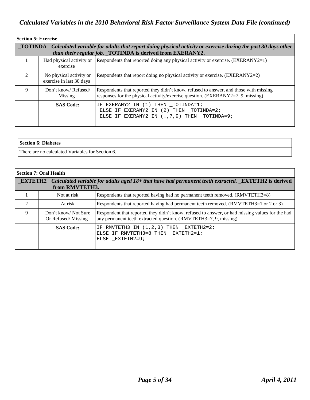|                                                                                                                                                                                   | <b>Section 5: Exercise</b>                          |                                                                                                                                                                                   |  |  |
|-----------------------------------------------------------------------------------------------------------------------------------------------------------------------------------|-----------------------------------------------------|-----------------------------------------------------------------------------------------------------------------------------------------------------------------------------------|--|--|
| TOTINDA Calculated variable for adults that report doing physical activity or exercise during the past 30 days other<br>than their regular job. TOTINDA is derived from EXERANY2. |                                                     |                                                                                                                                                                                   |  |  |
|                                                                                                                                                                                   | exercise                                            | Had physical activity or Respondents that reported doing any physical activity or exercise. $(EXERANY2=1)$                                                                        |  |  |
| $\mathcal{D}$                                                                                                                                                                     | No physical activity or<br>exercise in last 30 days | Respondents that report doing no physical activity or exercise. (EXERANY2=2)                                                                                                      |  |  |
| 9                                                                                                                                                                                 | Don't know/Refused/<br>Missing                      | Respondents that reported they didn't know, refused to answer, and those with missing<br>responses for the physical activity/exercise question. $(EXERANY2=7, 9, \text{missing})$ |  |  |
|                                                                                                                                                                                   | <b>SAS Code:</b>                                    | EXERANY2 IN (1) THEN TOTINDA=1;<br>ΙF<br>ELSE IF EXERANY2 IN (2) THEN _TOTINDA=2;<br>ELSE IF EXERANY2 IN $(., 7, 9)$ THEN _TOTINDA=9;                                             |  |  |

| Section 6: Diabetes                              |
|--------------------------------------------------|
| There are no calculated Variables for Section 6. |

|                             | Section 7: Oral Health                                                                                                               |                                                                                                                                                                     |  |  |  |
|-----------------------------|--------------------------------------------------------------------------------------------------------------------------------------|---------------------------------------------------------------------------------------------------------------------------------------------------------------------|--|--|--|
|                             | <b>EXTETH2</b> Calculated variable for adults aged 18+ that have had permanent teeth extracted. EXTETH2 is derived<br>from RMVTETH3. |                                                                                                                                                                     |  |  |  |
|                             | Not at risk                                                                                                                          | Respondents that reported having had no permanent teeth removed. (RMVTETH3=8)                                                                                       |  |  |  |
| $\mathcal{D}_{\mathcal{L}}$ | At risk                                                                                                                              | Respondents that reported having had permanent teeth removed. (RMVTETH3=1 or 2 or 3)                                                                                |  |  |  |
| 9                           | Don't know/Not Sure<br>Or Refused/Missing                                                                                            | Respondent that reported they didn't know, refused to answer, or had missing values for the had<br>any permanent teeth extracted question. (RMVTETH3=7, 9, missing) |  |  |  |
|                             | <b>SAS Code:</b>                                                                                                                     | IF RMVTETH3 IN $(1, 2, 3)$ THEN EXTETH2=2;<br>ELSE IF RMVTETH3=8 THEN EXTETH2=1;<br>ELSE EXTETH2=9;                                                                 |  |  |  |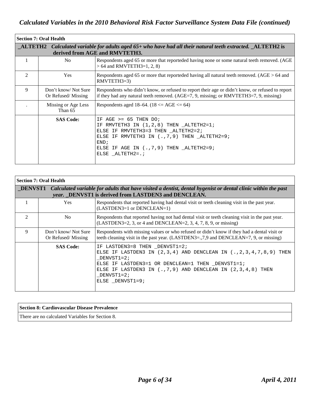|                             | <b>Section 7: Oral Health</b>                                                                                                                |                                                                                                                                                                                                                                                     |  |  |  |
|-----------------------------|----------------------------------------------------------------------------------------------------------------------------------------------|-----------------------------------------------------------------------------------------------------------------------------------------------------------------------------------------------------------------------------------------------------|--|--|--|
|                             | ALTETH2 Calculated variable for adults aged 65+ who have had all their natural teeth extracted. ALTETH2 is<br>derived from AGE and RMVTETH3. |                                                                                                                                                                                                                                                     |  |  |  |
| 1                           | No.                                                                                                                                          | Respondents aged 65 or more that reporteded having none or some natural teeth removed. (AGE<br>$> 64$ and RMVTETH3=1, 2, 8)                                                                                                                         |  |  |  |
| $\mathcal{D}_{\mathcal{L}}$ | <b>Yes</b>                                                                                                                                   | Respondents aged 65 or more that reporteded having all natural teeth removed. ( $AGE > 64$ and<br>$RMVTETH3=3$                                                                                                                                      |  |  |  |
| 9                           | Don't know/Not Sure<br>Or Refused/Missing                                                                                                    | Respondents who didn't know, or refused to report their age or didn't know, or refused to report<br>if they had any natural teeth removed. (AGE=7, 9, missing; or RMVTETH3=7, 9, missing)                                                           |  |  |  |
|                             | Missing or Age Less<br>Than 65                                                                                                               | Respondents aged 18–64. (18 <= AGE <= 64)                                                                                                                                                                                                           |  |  |  |
|                             | <b>SAS Code:</b>                                                                                                                             | $AGE$ >= 65 THEN DO;<br>T FL<br>RMVTETH3 IN $(1,2,8)$ THEN ALTETH2=1;<br>ΤF<br>ELSE IF RMVTETH3=3 THEN _ALTETH2=2;<br>ELSE IF RMVTETH3 IN $(., 7, 9)$ THEN $\_ALTETH2=9$ ;<br>FND:<br>ELSE IF AGE IN $(., 7, 9)$ THEN ALTETH2=9;<br>ELSE ALTETH2=.; |  |  |  |

|                             | <b>Section 7: Oral Health</b>                                                                                                                                                |                                                                                                                                                                                                                                                                               |  |  |  |
|-----------------------------|------------------------------------------------------------------------------------------------------------------------------------------------------------------------------|-------------------------------------------------------------------------------------------------------------------------------------------------------------------------------------------------------------------------------------------------------------------------------|--|--|--|
|                             | DENVST1 Calculated variable for adults that have visited a dentist, dental hygenist or dental clinic within the past<br>year. DENVST1 is derived from LASTDEN3 and DENCLEAN. |                                                                                                                                                                                                                                                                               |  |  |  |
|                             | <b>Yes</b>                                                                                                                                                                   | Respondents that reported having had dental visit or teeth cleaning visit in the past year.<br>(LASTDEN3=1 or DENCLEAN=1)                                                                                                                                                     |  |  |  |
| $\mathcal{D}_{\mathcal{L}}$ | N <sub>o</sub>                                                                                                                                                               | Respondents that reported having not had dental visit or teeth cleaning visit in the past year.<br>$(LASTDEN3=2, 3, or 4 and DENCLEAN=2, 3, 4, 7, 8, 9, or missing)$                                                                                                          |  |  |  |
| 9                           | Don't know/Not Sure<br>Or Refused/Missing                                                                                                                                    | Respondents with missing values or who refused or didn't know if they had a dental visit or<br>teeth cleaning visit in the past year. (LASTDEN3=,7,9 and DENCLEAN=7, 9, or missing)                                                                                           |  |  |  |
|                             | <b>SAS Code:</b>                                                                                                                                                             | IF LASTDEN3=8 THEN DENVST1=2;<br>ELSE IF LASTDEN3 IN $(2,3,4)$ AND DENCLEAN IN $(.,2,3,4,7,8,9)$ THEN<br>$DENVST1=2;$<br>ELSE IF LASTDEN3=1 OR DENCLEAN=1 THEN _DENVST1=1;<br>ELSE IF LASTDEN3 IN $(.,7,9)$ AND DENCLEAN IN $(2,3,4,8)$ THEN<br>DENVST1=2;<br>ELSE DENVST1=9; |  |  |  |

#### **Section 8: Cardiovascular Disease Prevalence**

There are no calculated Variables for Section 8.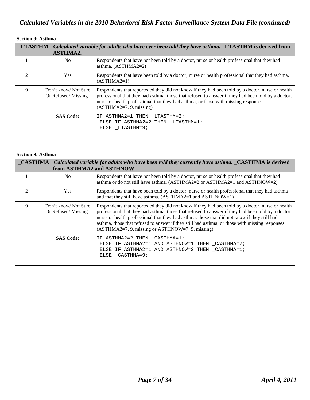| <b>Section 9: Asthma</b>                                                                                                           |                                           |                                                                                                                                                                                                                                                                                                                            |  |  |
|------------------------------------------------------------------------------------------------------------------------------------|-------------------------------------------|----------------------------------------------------------------------------------------------------------------------------------------------------------------------------------------------------------------------------------------------------------------------------------------------------------------------------|--|--|
| <b>LTASTHM</b> Calculated variable for adults who have ever been told they have asthma. LTASTHM is derived from<br><b>ASTHMA2.</b> |                                           |                                                                                                                                                                                                                                                                                                                            |  |  |
|                                                                                                                                    | N <sub>0</sub>                            | Respondents that have not been told by a doctor, nurse or health professional that they had<br>asthma. $(ASTHMA2=2)$                                                                                                                                                                                                       |  |  |
| $\mathcal{D}_{\mathcal{L}}$                                                                                                        | <b>Yes</b>                                | Respondents that have been told by a doctor, nurse or health professional that they had asthma.<br>$(ASTHMA2=1)$                                                                                                                                                                                                           |  |  |
| 9                                                                                                                                  | Don't know/Not Sure<br>Or Refused/Missing | Respondents that reporteded they did not know if they had been told by a doctor, nurse or health<br>professional that they had asthma, those that refused to answer if they had been told by a doctor,<br>nurse or health professional that they had asthma, or those with missing responses.<br>$(ASTHMA2=7, 9, missing)$ |  |  |
|                                                                                                                                    | <b>SAS Code:</b>                          | IF ASTHMA2=1 THEN LTASTHM=2;<br>ELSE IF ASTHMA2=2 THEN LTASTHM=1;<br>ELSE LTASTHM=9;                                                                                                                                                                                                                                       |  |  |

| <b>Section 9: Asthma</b>    |                                                                                                                                              |                                                                                                                                                                                                                                                                                                                                                                                                                                                               |  |  |  |
|-----------------------------|----------------------------------------------------------------------------------------------------------------------------------------------|---------------------------------------------------------------------------------------------------------------------------------------------------------------------------------------------------------------------------------------------------------------------------------------------------------------------------------------------------------------------------------------------------------------------------------------------------------------|--|--|--|
|                             | <b>CASTHMA</b> Calculated variable for adults who have been told they currently have asthma. CASTHMA is derived<br>from ASTHMA2 and ASTHNOW. |                                                                                                                                                                                                                                                                                                                                                                                                                                                               |  |  |  |
|                             | No.                                                                                                                                          | Respondents that have not been told by a doctor, nurse or health professional that they had<br>asthma or do not still have asthma. (ASTHMA2=2 or ASTHMA2=1 and ASTHNOW=2)                                                                                                                                                                                                                                                                                     |  |  |  |
| $\mathcal{D}_{\mathcal{L}}$ | <b>Yes</b>                                                                                                                                   | Respondents that have been told by a doctor, nurse or health professional that they had asthma<br>and that they still have asthma. $(ASTHMA2=1$ and $ASTHNOWLEDW=1)$                                                                                                                                                                                                                                                                                          |  |  |  |
| 9                           | Don't know/Not Sure<br>Or Refused/Missing                                                                                                    | Respondents that reporteded they did not know if they had been told by a doctor, nurse or health<br>professional that they had asthma, those that refused to answer if they had been told by a doctor,<br>nurse or health professional that they had asthma, those that did not know if they still had<br>asthma, those that refused to answer if they still had asthma, or those with missing responses.<br>(ASTHMA2=7, 9, missing or ASTHNOW=7, 9, missing) |  |  |  |
|                             | <b>SAS Code:</b>                                                                                                                             | IF ASTHMA2=2 THEN _CASTHMA=1;<br>ELSE IF ASTHMA2=1 AND ASTHNOW=1 THEN _CASTHMA=2;<br>ELSE IF ASTHMA2=1 AND ASTHNOW=2 THEN _CASTHMA=1;<br>ELSE CASTHMA=9;                                                                                                                                                                                                                                                                                                      |  |  |  |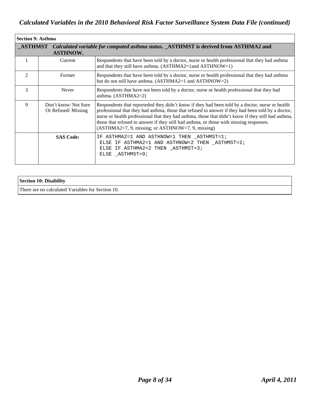| <b>Section 9: Asthma</b>    |                                                                                                                       |                                                                                                                                                                                                                                                                                                                                                                                                                                                                |  |  |  |
|-----------------------------|-----------------------------------------------------------------------------------------------------------------------|----------------------------------------------------------------------------------------------------------------------------------------------------------------------------------------------------------------------------------------------------------------------------------------------------------------------------------------------------------------------------------------------------------------------------------------------------------------|--|--|--|
|                             | <b>ASTHMST</b> Calculated variable for computed asthma status. ASTHMST is derived from ASTHMA2 and<br><b>ASTHNOW.</b> |                                                                                                                                                                                                                                                                                                                                                                                                                                                                |  |  |  |
|                             | Current                                                                                                               | Respondents that have been told by a doctor, nurse or health professional that they had asthma<br>and that they still have asthma. (ASTHMA2=1and ASTHNOW=1)                                                                                                                                                                                                                                                                                                    |  |  |  |
| $\mathcal{D}_{\mathcal{L}}$ | Former                                                                                                                | Respondents that have been told by a doctor, nurse or health professional that they had asthma<br>but do not still have asthma. (ASTHMA2=1 and ASTHNOW=2)                                                                                                                                                                                                                                                                                                      |  |  |  |
| 3                           | Never                                                                                                                 | Respondents that have not been told by a doctor, nurse or health professional that they had<br>asthma. $(ASTHMA2=2)$                                                                                                                                                                                                                                                                                                                                           |  |  |  |
| 9                           | Don't know/Not Sure<br>Or Refused/Missing                                                                             | Respondents that reporteded they didn't know if they had been told by a doctor, nurse or health<br>professional that they had asthma, those that refused to answer if they had been told by a doctor,<br>nurse or health professional that they had asthma, those that didn't know if they still had asthma,<br>those that refused to answer if they still had asthma, or those with missing responses.<br>$(ASTHMA2=7, 9, missing; or ASTHNOW=7, 9, missing)$ |  |  |  |
|                             | <b>SAS Code:</b>                                                                                                      | IF ASTHMA2=1 AND ASTHNOW=1 THEN _ASTHMST=1;<br>ELSE IF ASTHMA2=1 AND ASTHNOW=2 THEN _ASTHMST=2;<br>ELSE IF ASTHMA2=2 THEN ASTHMST=3;<br>ELSE ASTHMST=9;                                                                                                                                                                                                                                                                                                        |  |  |  |

| Section 10: Disability                            |  |
|---------------------------------------------------|--|
| There are no calculated Variables for Section 10. |  |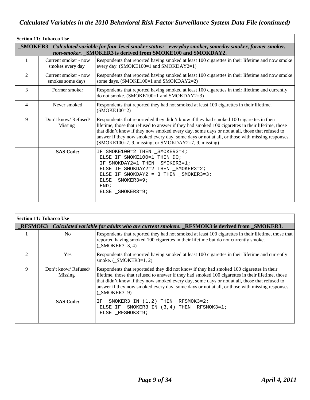| <b>Section 11: Tobacco Use</b> |                                                                                                                                                                                   |                                                                                                                                                                                                                                                                                                                                                                                                                                                        |  |  |
|--------------------------------|-----------------------------------------------------------------------------------------------------------------------------------------------------------------------------------|--------------------------------------------------------------------------------------------------------------------------------------------------------------------------------------------------------------------------------------------------------------------------------------------------------------------------------------------------------------------------------------------------------------------------------------------------------|--|--|
|                                | <b>SMOKER3</b><br>Calculated variable for four-level smoker status: everyday smoker, someday smoker, former smoker,<br>non-smoker. SMOKER3 is derived from SMOKE100 and SMOKDAY2. |                                                                                                                                                                                                                                                                                                                                                                                                                                                        |  |  |
| 1                              | Current smoker - now<br>smokes every day                                                                                                                                          | Respondents that reported having smoked at least 100 cigarettes in their lifetime and now smoke<br>every day. (SMOKE100=1 and SMOKDAY2=1)                                                                                                                                                                                                                                                                                                              |  |  |
| $\overline{2}$                 | Current smoker - now<br>smokes some days                                                                                                                                          | Respondents that reported having smoked at least 100 cigarettes in their lifetime and now smoke<br>some days. (SMOKE100=1 and SMOKDAY2=2)                                                                                                                                                                                                                                                                                                              |  |  |
| 3                              | Former smoker                                                                                                                                                                     | Respondents that reported having smoked at least 100 cigarettes in their lifetime and currently<br>do not smoke. (SMOKE100=1 and SMOKDAY2=3)                                                                                                                                                                                                                                                                                                           |  |  |
| 4                              | Never smoked                                                                                                                                                                      | Respondents that reported they had not smoked at least 100 cigarettes in their lifetime.<br>$(SMOKE100=2)$                                                                                                                                                                                                                                                                                                                                             |  |  |
| 9                              | Don't know/Refused/<br>Missing                                                                                                                                                    | Respondents that reporteded they didn't know if they had smoked 100 cigarettes in their<br>lifetime, those that refused to answer if they had smoked 100 cigarettes in their lifetime, those<br>that didn't know if they now smoked every day, some days or not at all, those that refused to<br>answer if they now smoked every day, some days or not at all, or those with missing responses.<br>(SMOKE100=7, 9, missing; or SMOKDAY2=7, 9, missing) |  |  |
|                                | <b>SAS Code:</b>                                                                                                                                                                  | IF SMOKE100=2 THEN SMOKER3=4;<br>ELSE IF SMOKE100=1 THEN DO;<br>IF SMOKDAY2=1 THEN _SMOKER3=1;<br>ELSE IF SMOKDAY2=2 THEN _SMOKER3=2;<br>ELSE IF SMOKDAY2 = 3 THEN $\_SMOKER3=3;$<br>ELSE SMOKER3=9;<br>END;<br>ELSE SMOKER3=9;                                                                                                                                                                                                                        |  |  |

| <b>Section 11: Tobacco Use</b> |                                |                                                                                                                                                                                                                                                                                                                                                                                                                  |
|--------------------------------|--------------------------------|------------------------------------------------------------------------------------------------------------------------------------------------------------------------------------------------------------------------------------------------------------------------------------------------------------------------------------------------------------------------------------------------------------------|
|                                |                                | RFSMOK3 Calculated variable for adults who are current smokers. RFSMOK3 is derived from SMOKER3.                                                                                                                                                                                                                                                                                                                 |
|                                | No                             | Respondents that reported they had not smoked at least 100 cigarettes in their lifetime, those that<br>reported having smoked 100 cigarettes in their lifetime but do not currently smoke.<br>$(MOKER3=3, 4)$                                                                                                                                                                                                    |
| $\mathcal{D}_{\mathcal{L}}$    | <b>Yes</b>                     | Respondents that reported having smoked at least 100 cigarettes in their lifetime and currently<br>smoke. $(MOKER3=1, 2)$                                                                                                                                                                                                                                                                                        |
| 9                              | Don't know/Refused/<br>Missing | Respondents that reporteded they did not know if they had smoked 100 cigarettes in their<br>lifetime, those that refused to answer if they had smoked 100 cigarettes in their lifetime, those<br>that didn't know if they now smoked every day, some days or not at all, those that refused to<br>answer if they now smoked every day, some days or not at all, or those with missing responses.<br>$(MOKER3=9)$ |
|                                | <b>SAS Code:</b>               | IF _SMOKER3 IN (1,2) THEN _RFSMOK3=2;<br>ELSE IF SMOKER3 IN (3,4) THEN RFSMOK3=1;<br>ELSE RFSMOK3=9;                                                                                                                                                                                                                                                                                                             |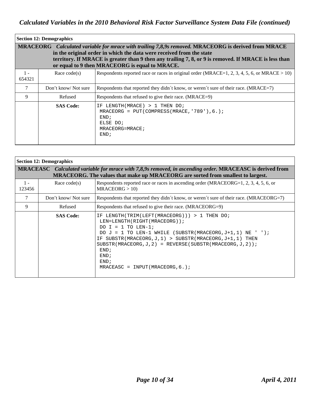|                 | <b>Section 12: Demographics</b> |                                                                                                                                                                                                                                                                                                                                       |
|-----------------|---------------------------------|---------------------------------------------------------------------------------------------------------------------------------------------------------------------------------------------------------------------------------------------------------------------------------------------------------------------------------------|
|                 |                                 | MRACEORG Calculated variable for mrace with trailing 7,8,9s removed. MRACEORG is derived from MRACE<br>in the original order in which the data were received from the state<br>territory. If MRACE is greater than 9 then any trailing 7, 8, or 9 is removed. If MRACE is less than<br>or equal to 9 then MRACEORG is equal to MRACE. |
| $1 -$<br>654321 | Race $code(s)$                  | Respondents reported race or races in original order (MRACE=1, 2, 3, 4, 5, 6, or MRACE > 10)                                                                                                                                                                                                                                          |
|                 | Don't know/Not sure             | Respondents that reported they didn't know, or weren't sure of their race. (MRACE=7)                                                                                                                                                                                                                                                  |
| 9               | Refused                         | Respondents that refused to give their race. (MRACE=9)                                                                                                                                                                                                                                                                                |
|                 | <b>SAS Code:</b>                | $LENGTH(MRACE) > 1$ THEN DO;<br>IF<br>MRACEORG = $PUT(COMPRESS(MRACE, '789')$ , 6, );<br>END:<br>ELSE DO;<br>MRACEORG=MRACE;<br>END:                                                                                                                                                                                                  |

| <b>Section 12: Demographics</b> |                                                                                                                                                                                             |                                                                                                                                                                                                                                                                                                                                                                                          |  |
|---------------------------------|---------------------------------------------------------------------------------------------------------------------------------------------------------------------------------------------|------------------------------------------------------------------------------------------------------------------------------------------------------------------------------------------------------------------------------------------------------------------------------------------------------------------------------------------------------------------------------------------|--|
|                                 | MRACEASC Calculated variable for mrace with 7,8,9s removed, in ascending order. MRACEASC is derived from<br>MRACEORG. The values that make up MRACEORG are sorted from smallest to largest. |                                                                                                                                                                                                                                                                                                                                                                                          |  |
| $1 -$<br>123456                 | Race $code(s)$                                                                                                                                                                              | Respondents reported race or races in ascending order (MRACEORG=1, 2, 3, 4, 5, 6, or<br>MRACEORG > 10                                                                                                                                                                                                                                                                                    |  |
| $\tau$                          | Don't know/Not sure                                                                                                                                                                         | Respondents that reported they didn't know, or weren't sure of their race. (MRACEORG=7)                                                                                                                                                                                                                                                                                                  |  |
| 9                               | Refused                                                                                                                                                                                     | Respondents that refused to give their race. (MRACEORG=9)                                                                                                                                                                                                                                                                                                                                |  |
|                                 | <b>SAS Code:</b>                                                                                                                                                                            | IF LENGTH(TRIM(LEFT(MRACEORG))) > 1 THEN DO;<br>LEN=LENGTH(RIGHT(MRACEORG));<br>DO I = 1 TO LEN-1;<br>DO $J = 1$ TO LEN-1 WHILE (SUBSTR(MRACEORG, $J+1$ , 1) NE ' ');<br>SUBSTR(MRACEORG, $J$ , $1$ ) > SUBSTR(MRACEORG, $J+1$ , $1$ ) THEN<br>ΙF.<br>SUBSTR(MRACEORG, J, 2) = REVERSE(SUBSTR(MRACEORG, J, 2));<br>END;<br>END <sub>i</sub><br>END:<br>MRACEASC = $INPUT(MRACEORG, 6.);$ |  |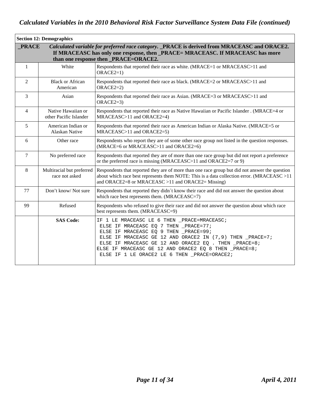|                | <b>Section 12: Demographics</b>              |                                                                                                                                                                                                                                                                                                                                                              |
|----------------|----------------------------------------------|--------------------------------------------------------------------------------------------------------------------------------------------------------------------------------------------------------------------------------------------------------------------------------------------------------------------------------------------------------------|
| <b>PRACE</b>   |                                              | Calculated variable for preferred race category. _PRACE is derived from MRACEASC and ORACE2.<br>If MRACEASC has only one response, then _PRACE= MRACEASC. If MRACEASC has more<br>than one response then _PRACE=ORACE2.                                                                                                                                      |
| 1              | White                                        | Respondents that reported their race as white. (MRACE=1 or MRACEASC>11 and<br>$ORACE2=1)$                                                                                                                                                                                                                                                                    |
| $\overline{2}$ | <b>Black or African</b><br>American          | Respondents that reported their race as black. (MRACE=2 or MRACEASC>11 and<br>$ORACE2=2$                                                                                                                                                                                                                                                                     |
| 3              | Asian                                        | Respondents that reported their race as Asian. (MRACE=3 or MRACEASC>11 and<br>$ORACE2=3$                                                                                                                                                                                                                                                                     |
| $\overline{4}$ | Native Hawaiian or<br>other Pacific Islander | Respondents that reported their race as Native Hawaiian or Pacific Islander . (MRACE=4 or<br>MRACEASC>11 and ORACE2=4)                                                                                                                                                                                                                                       |
| 5              | American Indian or<br>Alaskan Native         | Respondents that reported their race as American Indian or Alaska Native. (MRACE=5 or<br>MRACEASC>11 and ORACE2=5)                                                                                                                                                                                                                                           |
| 6              | Other race                                   | Respondents who report they are of some other race group not listed in the question responses.<br>(MRACE=6 or MRACEASC>11 and ORACE2=6)                                                                                                                                                                                                                      |
| $\overline{7}$ | No preferred race                            | Respondents that reported they are of more than one race group but did not report a preference<br>or the preferred race is missing (MRACEASC>11 and ORACE2=7 or 9)                                                                                                                                                                                           |
| $\,8\,$        | Multiracial but preferred<br>race not asked  | Respondents that reported they are of more than one race group but did not answer the question<br>about which race best represents them NOTE: This is a data collection error. (MRACEASC >11<br>and ORACE2=8 or MRACEASC >11 and ORACE2= Missing)                                                                                                            |
| 77             | Don't know/Not sure                          | Respondents that reported they didn't know their race and did not answer the question about<br>which race best represents them. (MRACEASC=7)                                                                                                                                                                                                                 |
| 99             | Refused                                      | Respondents who refused to give their race and did not answer the question about which race<br>best represents them. (MRACEASC=9)                                                                                                                                                                                                                            |
|                | <b>SAS Code:</b>                             | IF 1 LE MRACEASC LE 6 THEN _PRACE=MRACEASC;<br>ELSE IF MRACEASC EQ 7 THEN _PRACE=77;<br>ELSE IF MRACEASC EQ 9 THEN _PRACE=99;<br>ELSE IF MRACEASC GE 12 AND ORACE2 IN (7,9) THEN _PRACE=7;<br>ELSE IF MRACEASC GE 12 AND ORACE2 EQ . THEN _PRACE=8;<br>ELSE IF MRACEASC GE 12 AND ORACE2 EQ 8 THEN _PRACE=8;<br>ELSE IF 1 LE ORACE2 LE 6 THEN _PRACE=ORACE2; |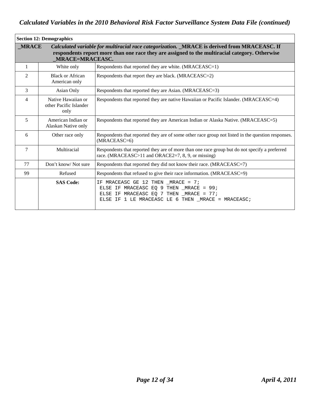| <b>Section 12: Demographics</b> |                                                      |                                                                                                                                                                                               |  |
|---------------------------------|------------------------------------------------------|-----------------------------------------------------------------------------------------------------------------------------------------------------------------------------------------------|--|
| <b>MRACE</b>                    | <b>MRACE=MRACEASC.</b>                               | Calculated variable for multiracial race categorization. MRACE is derived from MRACEASC. If<br>respondents report more than one race they are assigned to the multiracial category. Otherwise |  |
| $\mathbf{1}$                    | White only                                           | Respondents that reported they are white. (MRACEASC=1)                                                                                                                                        |  |
| $\overline{2}$                  | <b>Black or African</b><br>American only             | Respondents that report they are black. (MRACEASC=2)                                                                                                                                          |  |
| 3                               | Asian Only                                           | Respondents that reported they are Asian. (MRACEASC=3)                                                                                                                                        |  |
| $\overline{4}$                  | Native Hawaiian or<br>other Pacific Islander<br>only | Respondents that reported they are native Hawaiian or Pacific Islander. (MRACEASC=4)                                                                                                          |  |
| 5                               | American Indian or<br>Alaskan Native only            | Respondents that reported they are American Indian or Alaska Native. (MRACEASC=5)                                                                                                             |  |
| 6                               | Other race only                                      | Respondents that reported they are of some other race group not listed in the question responses.<br>$(MRACEASC=6)$                                                                           |  |
| $\tau$                          | Multiracial                                          | Respondents that reported they are of more than one race group but do not specify a preferred<br>race. (MRACEASC>11 and ORACE2=7, 8, 9, or missing)                                           |  |
| 77                              | Don't know/Not sure                                  | Respondents that reported they did not know their race. (MRACEASC=7)                                                                                                                          |  |
| 99                              | Refused                                              | Respondents that refused to give their race information. (MRACEASC=9)                                                                                                                         |  |
|                                 | <b>SAS Code:</b>                                     | IF MRACEASC GE 12 THEN MRACE = $7$ ;<br>ELSE IF MRACEASC EQ 9 THEN $MRACE = 99$ ;<br>ELSE IF MRACEASC EQ 7 THEN _MRACE = 77;<br>ELSE IF 1 LE MRACEASC LE 6 THEN _MRACE = MRACEASC;            |  |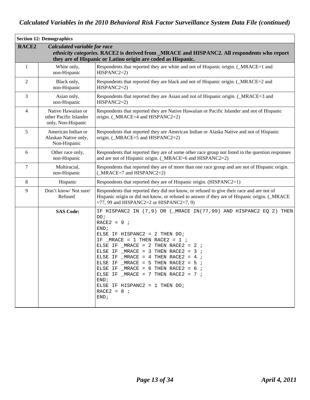|                   | <b>Section 12: Demographics</b>                                    |                                                                                                                                                                                                                                                                                                                                                                                                                                                                                                           |
|-------------------|--------------------------------------------------------------------|-----------------------------------------------------------------------------------------------------------------------------------------------------------------------------------------------------------------------------------------------------------------------------------------------------------------------------------------------------------------------------------------------------------------------------------------------------------------------------------------------------------|
| RACE <sub>2</sub> | Calculated variable for race                                       | ethnicity categories. RACE2 is derived from _MRACE and HISPANC2. All respondents who report<br>they are of Hispanic or Latino origin are coded as Hispanic.                                                                                                                                                                                                                                                                                                                                               |
| $\mathbf{1}$      | White only,<br>non-Hispanic                                        | Respondents that reported they are white and not of Hispanic origin. (_MRACE=1 and<br>$HISPANC2=2)$                                                                                                                                                                                                                                                                                                                                                                                                       |
| $\overline{2}$    | Black only,<br>non-Hispanic                                        | Respondents that reported they are black and not of Hispanic origin. (_MRACE=2 and<br>$HISPANC2=2)$                                                                                                                                                                                                                                                                                                                                                                                                       |
| 3                 | Asian only,<br>non-Hispanic                                        | Respondents that reported they are Asian and not of Hispanic origin. (_MRACE=3 and<br>$HISPANC2=2)$                                                                                                                                                                                                                                                                                                                                                                                                       |
| $\overline{4}$    | Native Hawaiian or<br>other Pacific Islander<br>only, Non-Hispanic | Respondents that reported they are Native Hawaiian or Pacific Islander and not of Hispanic<br>origin. (_MRACE=4 and HISPANC2=2)                                                                                                                                                                                                                                                                                                                                                                           |
| 5                 | American Indian or<br>Alaskan Native only,<br>Non-Hispanic         | Respondents that reported they are American Indian or Alaska Native and not of Hispanic<br>origin. (_MRACE=5 and HISPANC2=2)                                                                                                                                                                                                                                                                                                                                                                              |
| 6                 | Other race only,<br>non-Hispanic                                   | Respondents that reported they are of some other race group not listed in the question responses<br>and are not of Hispanic origin. (_MRACE=6 and HISPANC2=2)                                                                                                                                                                                                                                                                                                                                             |
| 7                 | Multiracial,<br>non-Hispanic                                       | Respondents that reported they are of more than one race group and are not of Hispanic origin.<br>(MRACE=7 and HISPANC2=2)                                                                                                                                                                                                                                                                                                                                                                                |
| $\,8\,$           | Hispanic                                                           | Respondents that reported they are of Hispanic origin. (HISPANC2=1)                                                                                                                                                                                                                                                                                                                                                                                                                                       |
| 9                 | Don't know/Not sure/<br>Refused                                    | Respondents that reported they did not know, or refused to give their race and are not of<br>Hispanic origin or did not know, or refused to answer if they are of Hispanic origin. (_MRACE<br>$=77, 99$ and HISPANC2=2 or HISPANC2=7, 9)                                                                                                                                                                                                                                                                  |
|                   | <b>SAS Code:</b>                                                   | IF HISPANC2 IN (7,9) OR (_MRACE IN(77,99) AND HISPANC2 EQ 2) THEN<br>DO;<br>$RACE2 = 9$ ;<br>END;<br>ELSE IF HISPANC2 = $2$ THEN DO;<br>IF _MRACE = 1 THEN RACE2 = 1 $\mu$<br>ELSE IF MRACE = 2 THEN RACE2 = 2 $\div$<br>ELSE IF $MRACE = 3$ THEN RACE2 = 3;<br>ELSE IF $_MRACE = 4 THEN RACE2 = 4$ ;<br>ELSE IF _MRACE = 5 THEN RACE2 = 5 $\cdot$<br>ELSE IF $MRACT = 6$ THEN RACE2 = 6 ;<br>ELSE IF _MRACE = $7$ THEN RACE2 = $7$ ;<br>END;<br>ELSE IF HISPANC2 = $1$ THEN DO;<br>$RACE2 = 8$ ;<br>END; |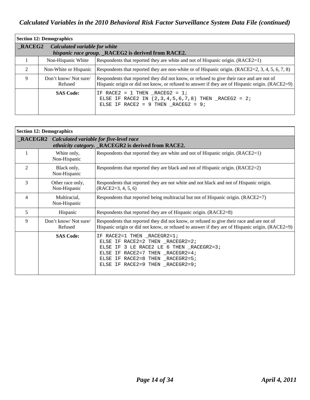| <b>Section 12: Demographics</b>         |                                 |                                                                                                                                                                                                |
|-----------------------------------------|---------------------------------|------------------------------------------------------------------------------------------------------------------------------------------------------------------------------------------------|
| RACEG2<br>Calculated variable for white |                                 |                                                                                                                                                                                                |
|                                         |                                 | hispanic race group. _RACEG2 is derived from RACE2.                                                                                                                                            |
|                                         | Non-Hispanic White              | Respondents that reported they are white and not of Hispanic origin. (RACE2=1)                                                                                                                 |
| $\mathfrak{D}$                          | Non-White or Hispanic           | Respondents that reported they are non-white or of Hispanic origin. $(RACE2=2, 3, 4, 5, 6, 7, 8)$                                                                                              |
| 9                                       | Don't know/Not sure/<br>Refused | Respondents that reported they did not know, or refused to give their race and are not of<br>Hispanic origin or did not know, or refused to answer if they are of Hispanic origin. $(RACE2=9)$ |
|                                         | <b>SAS Code:</b>                | IF RACE2 = 1 THEN RACEG2 = $1$ ;<br>ELSE IF RACE2 IN $(2,3,4,5,6,7,8)$ THEN $_RACEG2 = 2i$<br>ELSE IF RACE2 = 9 THEN RACEG2 = $9$ ;                                                            |

|                | <b>Section 12: Demographics</b>                         |                                                                                                                                                                                                                                  |  |
|----------------|---------------------------------------------------------|----------------------------------------------------------------------------------------------------------------------------------------------------------------------------------------------------------------------------------|--|
|                | <b>_RACEGR2</b> Calculated variable for five-level race | ethnicity category. _RACEGR2 is derived from RACE2.                                                                                                                                                                              |  |
|                | White only,<br>Non-Hispanic                             | Respondents that reported they are white and not of Hispanic origin. (RACE2=1)                                                                                                                                                   |  |
| $\overline{2}$ | Black only,<br>Non-Hispanic                             | Respondents that reported they are black and not of Hispanic origin. (RACE2=2)                                                                                                                                                   |  |
| 3              | Other race only,<br>Non-Hispanic                        | Respondents that reported they are not white and not black and not of Hispanic origin.<br>$(RACE2=3, 4, 5, 6)$                                                                                                                   |  |
| 4              | Multiracial,<br>Non-Hispanic                            | Respondents that reported being multiracial but not of Hispanic origin. (RACE2=7)                                                                                                                                                |  |
| 5              | Hispanic                                                | Respondents that reported they are of Hispanic origin. (RACE2=8)                                                                                                                                                                 |  |
| 9              | Don't know/Not sure/<br>Refused                         | Respondents that reported they did not know, or refused to give their race and are not of<br>Hispanic origin or did not know, or refused to answer if they are of Hispanic origin. (RACE2=9)                                     |  |
|                | <b>SAS Code:</b>                                        | $RACE2=1$ THEN $_RACEGR2=1$ ;<br>ΙF.<br>ELSE IF RACE2=2 THEN _RACEGR2=2;<br>ELSE IF 3 LE RACE2 LE 6 THEN _RACEGR2=3;<br>ELSE IF RACE2=7 THEN _RACEGR2=4;<br>ELSE IF RACE2=8 THEN _RACEGR2=5;<br>ELSE IF RACE2=9 THEN _RACEGR2=9; |  |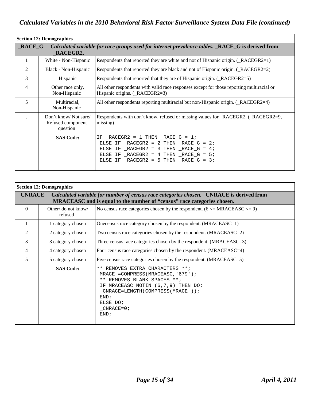| <b>Section 12: Demographics</b> |                                                       |                                                                                                                                                                                                                       |
|---------------------------------|-------------------------------------------------------|-----------------------------------------------------------------------------------------------------------------------------------------------------------------------------------------------------------------------|
| $RACE_G$                        | RACEGR2.                                              | Calculated variable for race groups used for internet prevalence tables. RACE G is derived from                                                                                                                       |
|                                 | White - Non-Hispanic                                  | Respondents that reported they are white and not of Hispanic origin. (_RACEGR2=1)                                                                                                                                     |
| 2                               | Black - Non-Hispanic                                  | Respondents that reported they are black and not of Hispanic origin. (_RACEGR2=2)                                                                                                                                     |
| 3                               | Hispanic                                              | Respondents that reported that they are of Hispanic origin. (_RACEGR2=5)                                                                                                                                              |
| 4                               | Other race only,<br>Non-Hispanic                      | All other respondents with valid race responses except for those reporting multiracial or<br>Hispanic origins. (_RACEGR2=3)                                                                                           |
| 5                               | Multiracial,<br>Non-Hispanic                          | All other respondents reporting multiracial but non-Hispanic origin. (_RACEGR2=4)                                                                                                                                     |
|                                 | Don't know/Not sure/<br>Refused component<br>question | Respondents with don't know, refused or missing values for _RACEGR2. (_RACEGR2=9,<br>missing)                                                                                                                         |
|                                 | <b>SAS Code:</b>                                      | IF RACEGR2 = 1 THEN RACE $G = 1$ ;<br>ELSE IF $_RACEGR2 = 2$ THEN $_RACE_G = 2$ ;<br>ELSE IF $_RACEGR2 = 3$ THEN $_RACE_G = 4$ ;<br>ELSE IF $_RACEGR2 = 4 THEN RACE_G = 5$<br>ELSE IF RACEGR2 = 5 THEN RACE $G = 3$ ; |

| <b>Section 12: Demographics</b> |                                |                                                                                                                                                                                                                            |
|---------------------------------|--------------------------------|----------------------------------------------------------------------------------------------------------------------------------------------------------------------------------------------------------------------------|
| $_CNRACE$                       |                                | Calculated variable for number of census race categories chosen. CNRACE is derived from<br>MRACEASC and is equal to the number of "census" race categories chosen.                                                         |
| $\theta$                        | Other/ do not know/<br>refused | No census race categories chosen by the respondent. $(6 \le MRACEASC \le 9)$                                                                                                                                               |
|                                 | 1 category chosen              | Onecensus race category chosen by the respondent. (MRACEASC=1)                                                                                                                                                             |
| 2                               | 2 category chosen              | Two census race categories chosen by the respondent. $(MRACEASC=2)$                                                                                                                                                        |
| 3                               | 3 category chosen              | Three census race categories chosen by the respondent. (MRACEASC=3)                                                                                                                                                        |
| 4                               | 4 category chosen              | Four census race categories chosen by the respondent. (MRACEASC=4)                                                                                                                                                         |
| 5                               | 5 category chosen              | Five census race categories chosen by the respondent. (MRACEASC=5)                                                                                                                                                         |
|                                 | <b>SAS Code:</b>               | ** REMOVES EXTRA CHARACTERS **;<br>MRACE_=COMPRESS(MRACEASC, '679');<br>** REMOVES BLANK SPACES **;<br>IF MRACEASC NOTIN (6,7,9) THEN DO;<br>$_CNRACE = LENGTH(COMPRESS(MRACE)$ ;<br>END:<br>ELSE DO;<br>CNRACE=0;<br>END; |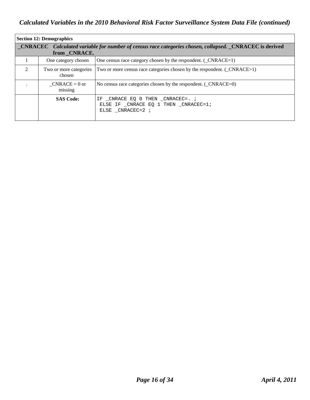| <b>Section 12: Demographics</b>                                                                                                |                                  |                                                                                            |
|--------------------------------------------------------------------------------------------------------------------------------|----------------------------------|--------------------------------------------------------------------------------------------|
| <b>CNRACEC</b> Calculated variable for number of census race categories chosen, collapsed. CNRACEC is derived<br>from _CNRACE. |                                  |                                                                                            |
|                                                                                                                                | One category chosen              | One census race category chosen by the respondent. $($ CNRACE=1 $)$                        |
| $\mathcal{D}_{\mathcal{L}}$                                                                                                    | Two or more categories<br>chosen | Two or more census race categories chosen by the respondent. (_CNRACE>1)                   |
|                                                                                                                                | $CNRACE = 0$ or<br>missing       | No census race categories chosen by the respondent. $(\angle$ CNRACE=0)                    |
|                                                                                                                                | <b>SAS Code:</b>                 | IF CNRACE EO 0 THEN CNRACEC=. ;<br>ELSE IF CNRACE EO 1 THEN CNRACEC=1;<br>ELSE CNRACEC=2 ; |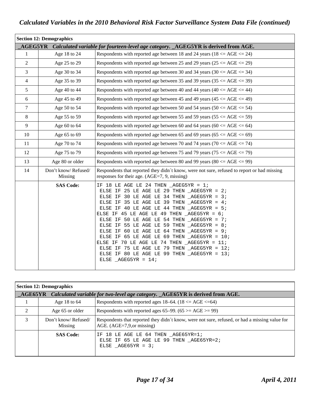| <b>Section 12: Demographics</b> |                                |                                                                                                                                                                                                                                                                                                                                                                                                                                                                                                                                                                                                                                                                                                                                              |
|---------------------------------|--------------------------------|----------------------------------------------------------------------------------------------------------------------------------------------------------------------------------------------------------------------------------------------------------------------------------------------------------------------------------------------------------------------------------------------------------------------------------------------------------------------------------------------------------------------------------------------------------------------------------------------------------------------------------------------------------------------------------------------------------------------------------------------|
|                                 |                                | AGEG5YR Calculated variable for fourteen-level age category. _AGEG5YR is derived from AGE.                                                                                                                                                                                                                                                                                                                                                                                                                                                                                                                                                                                                                                                   |
| $\mathbf{1}$                    | Age 18 to 24                   | Respondents with reported age between 18 and 24 years ( $18 \le AGE \le 24$ )                                                                                                                                                                                                                                                                                                                                                                                                                                                                                                                                                                                                                                                                |
| 2                               | Age 25 to 29                   | Respondents with reported age between 25 and 29 years ( $25 \le AGE \le 29$ )                                                                                                                                                                                                                                                                                                                                                                                                                                                                                                                                                                                                                                                                |
| 3                               | Age 30 to 34                   | Respondents with reported age between 30 and 34 years $(30 \le AGE \le 34)$                                                                                                                                                                                                                                                                                                                                                                                                                                                                                                                                                                                                                                                                  |
| $\overline{4}$                  | Age 35 to 39                   | Respondents with reported age between 35 and 39 years $(35 \le AGE \le 39)$                                                                                                                                                                                                                                                                                                                                                                                                                                                                                                                                                                                                                                                                  |
| 5                               | Age 40 to 44                   | Respondents with reported age between 40 and 44 years $(40 \le AGE \le 44)$                                                                                                                                                                                                                                                                                                                                                                                                                                                                                                                                                                                                                                                                  |
| 6                               | Age 45 to 49                   | Respondents with reported age between 45 and 49 years $(45 \le AGE \le 49)$                                                                                                                                                                                                                                                                                                                                                                                                                                                                                                                                                                                                                                                                  |
| $\overline{7}$                  | Age 50 to 54                   | Respondents with reported age between 50 and 54 years $(50 \le AGE \le 54)$                                                                                                                                                                                                                                                                                                                                                                                                                                                                                                                                                                                                                                                                  |
| $8\phantom{.}$                  | Age 55 to 59                   | Respondents with reported age between 55 and 59 years $(55 \le AGE \le 59)$                                                                                                                                                                                                                                                                                                                                                                                                                                                                                                                                                                                                                                                                  |
| 9                               | Age 60 to 64                   | Respondents with reported age between 60 and 64 years (60 $\leq$ AGE $\leq$ 64)                                                                                                                                                                                                                                                                                                                                                                                                                                                                                                                                                                                                                                                              |
| 10                              | Age 65 to 69                   | Respondents with reported age between 65 and 69 years ( $65 \le AGE \le 69$ )                                                                                                                                                                                                                                                                                                                                                                                                                                                                                                                                                                                                                                                                |
| 11                              | Age 70 to 74                   | Respondents with reported age between 70 and 74 years (70 $\leq$ AGE $\leq$ 74)                                                                                                                                                                                                                                                                                                                                                                                                                                                                                                                                                                                                                                                              |
| 12                              | Age 75 to 79                   | Respondents with reported age between 75 and 79 years (75 $\leq$ AGE $\leq$ 79)                                                                                                                                                                                                                                                                                                                                                                                                                                                                                                                                                                                                                                                              |
| 13                              | Age 80 or older                | Respondents with reported age between 80 and 99 years (80 $\leq$ AGE $\leq$ 99)                                                                                                                                                                                                                                                                                                                                                                                                                                                                                                                                                                                                                                                              |
| 14                              | Don't know/Refused/<br>Missing | Respondents that reported they didn't know, were not sure, refused to report or had missing<br>responses for their age. (AGE=7, 9, missing)                                                                                                                                                                                                                                                                                                                                                                                                                                                                                                                                                                                                  |
|                                 | <b>SAS Code:</b>               | IF 18 LE AGE LE 24 THEN $\_\$ AGEG5YR = 1;<br>ELSE IF 25 LE AGE LE 29 THEN $\_\text{AGEG5YR} = 2$ ;<br>ELSE IF 30 LE AGE LE 34 THEN $AGEG5YR = 3$ ;<br>ELSE IF 35 LE AGE LE 39 THEN $\_\text{AGEGSYR} = 4$ ;<br>ELSE IF 40 LE AGE LE 44 THEN $\_\$ AGEG5YR = 5;<br>ELSE IF 45 LE AGE LE 49 THEN $\_\$ AGEG5YR = 6;<br>ELSE IF 50 LE AGE LE 54 THEN $\_\text{AGEGSYR} = 7$ ;<br>ELSE IF 55 LE AGE LE 59 THEN $\_\text{AGEG5YR} = 8$ ;<br>ELSE IF 60 LE AGE LE 64 THEN $\_\$ AGEG5YR = 9;<br>ELSE IF 65 LE AGE LE 69 THEN $\_\text{AGEGSYR} = 10$ ;<br>ELSE IF 70 LE AGE LE 74 THEN $AGEG5YR = 11$ ;<br>ELSE IF 75 LE AGE LE 79 THEN $\_\text{AGEGSYR} = 12$ ;<br>ELSE IF 80 LE AGE LE 99 THEN $\_\$ AGEG5YR = 13;<br>ELSE $\_\$ AGEG5YR = 14; |

|                                                                                                              | <b>Section 12: Demographics</b> |                                                                                                                                |  |
|--------------------------------------------------------------------------------------------------------------|---------------------------------|--------------------------------------------------------------------------------------------------------------------------------|--|
| $\triangle$ AGE65YR Calculated variable for two-level age category. $\triangle$ AGE65YR is derived from AGE. |                                 |                                                                                                                                |  |
|                                                                                                              | Age 18 to $64$                  | Respondents with reported ages 18–64. $(18 \le AGE \le 64)$                                                                    |  |
| 2                                                                                                            | Age 65 or older                 | Respondents with reported ages 65–99. (65 $> = AGE$ ) = 99.                                                                    |  |
| 3                                                                                                            | Don't know/Refused/<br>Missing  | Respondents that reported they didn't know, were not sure, refused, or had a missing value for<br>AGE. $(AGE=7,9, or missing)$ |  |
|                                                                                                              | <b>SAS Code:</b>                | IF 18 LE AGE LE 64 THEN AGE65YR=1;<br>ELSE IF 65 LE AGE LE 99 THEN AGE65YR=2;<br>ELSE $AGE65YR = 3;$                           |  |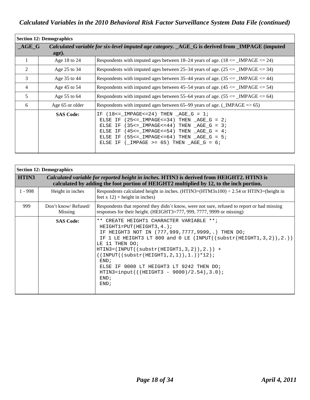| <b>Section 12: Demographics</b> |                  |                                                                                                                                                                                                                                                                                                  |
|---------------------------------|------------------|--------------------------------------------------------------------------------------------------------------------------------------------------------------------------------------------------------------------------------------------------------------------------------------------------|
| $\overline{\bf AGE\_G}$         | age).            | Calculated variable for six-level imputed age category. AGE G is derived from IMPAGE (imputed                                                                                                                                                                                                    |
| 1                               | Age 18 to 24     | Respondents with imputed ages between $18-24$ years of age. $(18 \leq )$ IMPAGE $\leq 24$ )                                                                                                                                                                                                      |
| 2                               | Age 25 to 34     | Respondents with imputed ages between 25–34 years of age. $(25 \leq 1 \text{MPAGE} \leq 34)$                                                                                                                                                                                                     |
| 3                               | Age 35 to 44     | Respondents with imputed ages between 35–44 years of age. $(35 \leq 1 \text{MPAGE} \leq 44)$                                                                                                                                                                                                     |
| 4                               | Age 45 to 54     | Respondents with imputed ages between 45–54 years of age. $(45 \leq {\text{IMPAGE}} \leq 54)$                                                                                                                                                                                                    |
| 5                               | Age 55 to 64     | Respondents with imputed ages between 55–64 years of age. $(55 \leq )$ IMPAGE $\leq$ 64)                                                                                                                                                                                                         |
| 6                               | Age 65 or older  | Respondents with imputed ages between $65-99$ years of age. (LMPAGE = > 65)                                                                                                                                                                                                                      |
|                                 | <b>SAS Code:</b> | $(18\leq 1$ MPAGE $\leq 24$ ) THEN AGE G = 1;<br>TF.<br>ELSE IF $(25<=$ IMPAGE<=34) THEN AGE G = 2;<br>ELSE IF $(35<=$ IMPAGE<=44) THEN AGE G = 3;<br>ELSE IF $(45<=$ IMPAGE<=54) THEN AGE G = 4;<br>ELSE IF $(55<=$ IMPAGE<=64) THEN AGE G = 5;<br>ELSE IF ( IMPAGE >= $65$ ) THEN AGE G = $6i$ |

| <b>Section 12: Demographics</b> |                                |                                                                                                                                                                                                                                                                                                                                                                                                                                                                               |
|---------------------------------|--------------------------------|-------------------------------------------------------------------------------------------------------------------------------------------------------------------------------------------------------------------------------------------------------------------------------------------------------------------------------------------------------------------------------------------------------------------------------------------------------------------------------|
| HTIN3                           |                                | Calculated variable for reported height in inches. HTIN3 is derived from HEIGHT2. HTIN3 is<br>calculated by adding the foot portion of HEIGHT2 multiplied by 12, to the inch portion.                                                                                                                                                                                                                                                                                         |
| $1 - 998$                       | Height in inches               | Respondents calculated height in inches. $(HTIN3=(HTM3x100) \div 2.54$ or HTIN3=(height in<br>$feet x 12$ + height in inches)                                                                                                                                                                                                                                                                                                                                                 |
| 999                             | Don't know/Refused/<br>Missing | Respondents that reported they didn't know, were not sure, refused to report or had missing<br>responses for their height. (HEIGHT3=777, 999, 7777, 9999 or missing)                                                                                                                                                                                                                                                                                                          |
|                                 | <b>SAS Code:</b>               | ** CREATE HEIGHT1 CHARACTER VARIABLE **;<br>$HEIGHT1=PUT(HEIGHT3, 4.);$<br>HEIGHT3 NOT IN (777,999,7777,9999,.) THEN DO;<br>IF.<br>1 LE HEIGHT3 LT 800 and 0 LE (INPUT((substr(HEIGHT1, 3, 2)), 2.))<br>TF<br>LE 11 THEN DO;<br>$HTIN3 = (INPUT((substr(HEIGHT1, 3, 2)), 2.)) +$<br>$((INPUT((substr(HEIGHT1, 2, 1)), 1.))^*12);$<br>END:<br>ELSE IF 9000 LT HEIGHT3 LT 9242 THEN DO;<br>HTIN3=input(((HEIGHT3 - $9000$ )/2.54),3.0);<br>END <sub>i</sub><br>END <sub>i</sub> |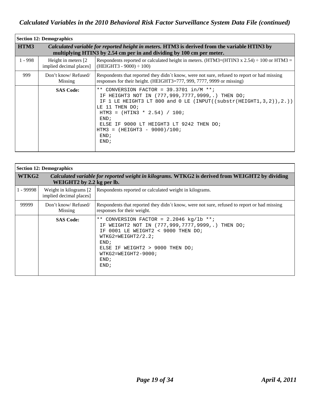| <b>Section 12: Demographics</b> |                                                 |                                                                                                                                                                                                                                                                                                                                                   |
|---------------------------------|-------------------------------------------------|---------------------------------------------------------------------------------------------------------------------------------------------------------------------------------------------------------------------------------------------------------------------------------------------------------------------------------------------------|
| HTM3                            |                                                 | <i>Calculated variable for reported height in meters.</i> HTM3 is derived from the variable HTIN3 by<br>multiplying HTIN3 by 2.54 cm per in and dividing by 100 cm per meter.                                                                                                                                                                     |
| $1 - 998$                       | Height in meters [2]<br>implied decimal places] | Respondents reported or calculated height in meters. (HTM3=(HTIN3 x 2.54) $\div$ 100 or HTM3 =<br>$(HEIGHT3 - 9000) \div 100$                                                                                                                                                                                                                     |
| 999                             | Don't know/Refused/<br>Missing                  | Respondents that reported they didn't know, were not sure, refused to report or had missing<br>responses for their height. (HEIGHT3=777, 999, 7777, 9999 or missing)                                                                                                                                                                              |
|                                 | <b>SAS Code:</b>                                | ** CONVERSION FACTOR = $39.3701$ in/M **;<br>HEIGHT3 NOT IN (777,999,7777,9999,.) THEN DO;<br>IF.<br>1 LE HEIGHT3 LT 800 and 0 LE (INPUT((substr(HEIGHT1, 3, 2)), 2.))<br>TF<br>11 THEN DO;<br>T.E.<br>HTM3 = $(HTIN3 * 2.54) / 100$ ;<br>END;<br>IF 9000 LT HEIGHT3 LT 9242 THEN DO;<br>ELSE.<br>HTM3 = $(HEIGHT3 - 9000)/100$ ;<br>END:<br>END; |

| <b>Section 12: Demographics</b> |                                                    |                                                                                                                                                                                                                                                                   |
|---------------------------------|----------------------------------------------------|-------------------------------------------------------------------------------------------------------------------------------------------------------------------------------------------------------------------------------------------------------------------|
| WTKG2                           | WEIGHT2 by 2.2 kg per lb.                          | Calculated variable for reported weight in kilograms. WTKG2 is derived from WEIGHT2 by dividing                                                                                                                                                                   |
| $1 - 99998$                     | Weight in kilograms [2]<br>implied decimal places] | Respondents reported or calculated weight in kilograms.                                                                                                                                                                                                           |
| 99999                           | Don't know/Refused/<br>Missing                     | Respondents that reported they didn't know, were not sure, refused to report or had missing<br>responses for their weight.                                                                                                                                        |
|                                 | <b>SAS Code:</b>                                   | CONVERSION FACTOR = $2.2046$ kg/lb **;<br>$***$<br>WEIGHT2 NOT IN (777,999,7777,9999,.) THEN DO;<br>ΤF<br>0001 LE WEIGHT2 < 9000 THEN DO;<br>ТF<br>$WTKG2 = WEIGHT2/2.2;$<br>END:<br>ELSE IF WEIGHT2 > 9000 THEN DO;<br>$WTKG2 = WEIGHT2 - 9000;$<br>END;<br>END; |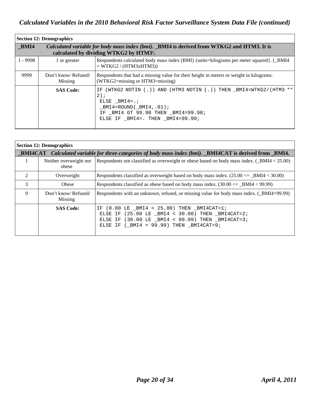| <b>Section 12: Demographics</b> |                                |                                                                                                                                                                                                               |
|---------------------------------|--------------------------------|---------------------------------------------------------------------------------------------------------------------------------------------------------------------------------------------------------------|
| BMI4                            |                                | Calculated variable for body mass index (bmi). _BMI4 is derived from WTKG2 and HTM3. It is<br>calculated by dividing WTKG2 by HTM3 <sup>2</sup> .                                                             |
| $1 - 9998$                      | 1 or greater                   | Respondents calculated body mass index (BMI) {units=kilograms per meter squared}. (_BMI4<br>$= WTKG2 / (HTM3xHTM3)$                                                                                           |
| 9999                            | Don't know/Refused/<br>Missing | Respondents that had a missing value for their height in meters or weight in kilograms.<br>(WTKG2=missing or HTM3=missing)                                                                                    |
|                                 | <b>SAS Code:</b>               | (WTKG2 NOTIN (.)) AND (HTM3 NOTIN (.)) THEN BMI4=WTKG2/(HTM3 **<br>ΙF.<br>$2)$ ;<br>ELSE BMI4= $\ldots$<br>$BMI4 = ROUND(BMI4, .01);$<br>IF BMI4 GT 99.98 THEN BMI4=99.98;<br>ELSE IF BMI4=. THEN BMI4=99.99; |

|                | <b>Section 12: Demographics</b> |                                                                                                                                                                                                                         |  |
|----------------|---------------------------------|-------------------------------------------------------------------------------------------------------------------------------------------------------------------------------------------------------------------------|--|
|                |                                 | _BMI4CAT Calculated variable for three-categories of body mass index (bmi). _BMI4CAT is derived from _BMI4.                                                                                                             |  |
|                | Neither overweight nor<br>obese | Respondents not classified as overweight or obese based on body mass index. (_BMI4 < 25.00)                                                                                                                             |  |
| $\mathfrak{D}$ | Overweight                      | Respondents classified as overweight based on body mass index. $(25.00 \leq_{\text{BMI4}} 8.30.00)$                                                                                                                     |  |
| 3              | Obese                           | Respondents classified as obese based on body mass index. $(30.00 \leq -BMI4 \leq 99.99)$                                                                                                                               |  |
| 9              | Don't know/Refused/<br>Missing  | Respondents with an unknown, refused, or missing value for body mass index. (_BMI4=99.99)                                                                                                                               |  |
|                | <b>SAS Code:</b>                | $(0.00$ LE BMI4 < 25.00) THEN BMI4CAT=1;<br>ΙF.<br>ELSE IF $(25.00$ LE BMI4 < 30.00) THEN BMI4CAT=2;<br>ELSE IF $(30.00 \text{ LE} \text{ BMI4} < 99.99)$ THEN BMI4CAT=3;<br>ELSE IF ( $BMI4 = 99.99$ ) THEN BMI4CAT=9; |  |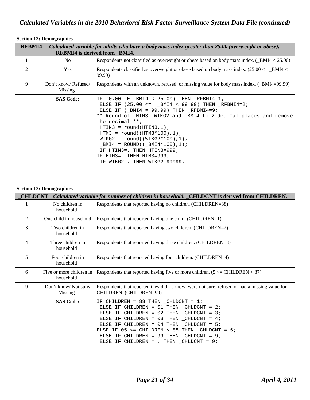| <b>Section 12: Demographics</b> |                                |                                                                                                                                                                                                                                                                                                                                                                                                                                                                                          |
|---------------------------------|--------------------------------|------------------------------------------------------------------------------------------------------------------------------------------------------------------------------------------------------------------------------------------------------------------------------------------------------------------------------------------------------------------------------------------------------------------------------------------------------------------------------------------|
| <b>RFBMI4</b>                   |                                | Calculated variable for adults who have a body mass index greater than 25.00 (overweight or obese).<br><b>RFBMI4</b> is derived from BMI4.                                                                                                                                                                                                                                                                                                                                               |
| 1                               | No.                            | Respondents not classified as overweight or obese based on body mass index. $($ BMI4 < 25.00)                                                                                                                                                                                                                                                                                                                                                                                            |
| 2                               | Yes                            | Respondents classified as overweight or obese based on body mass index. $(25.00 \leq -$ BMI4 $<$<br>99.99)                                                                                                                                                                                                                                                                                                                                                                               |
| 9                               | Don't know/Refused/<br>Missing | Respondents with an unknown, refused, or missing value for body mass index. (_BMI4=99.99)                                                                                                                                                                                                                                                                                                                                                                                                |
|                                 | <b>SAS Code:</b>               | $(0.00$ LE $\_$ BMI4 < 25.00) THEN $\_$ RFBMI4=1;<br>IF<br>ELSE IF $(25.00 \leq \_BMI4 \leq 99.99)$ THEN RFBMI4=2;<br>ELSE IF $(_MI4 = 99.99)$ THEN RFBMI4=9;<br>** Round off HTM3, WTKG2 and _BMI4 to 2 decimal places and remove<br>the decimal $**$ ;<br>$HTIN3 = round(HTING, 1);$<br>$HTM3 = round((HTM3*100), 1);$<br>$WTKG2 = round((WTKG2*100), 1);$<br>$_MI4 = ROUND((_MI4*100), 1);$<br>IF HTIN3=. THEN HTIN3=999;<br>IF HTM3=. THEN HTM3=999;<br>IF WTKG2=. THEN WTKG2=99999; |

| <b>Section 12: Demographics</b> |                                                                                                     |                                                                                                                                                                                                                                                                                                                                                                                         |  |
|---------------------------------|-----------------------------------------------------------------------------------------------------|-----------------------------------------------------------------------------------------------------------------------------------------------------------------------------------------------------------------------------------------------------------------------------------------------------------------------------------------------------------------------------------------|--|
|                                 | CHLDCNT Calculated variable for number of children in household. _CHLDCNT is derived from CHILDREN. |                                                                                                                                                                                                                                                                                                                                                                                         |  |
| 1                               | No children in<br>household                                                                         | Respondents that reported having no children. (CHILDREN=88)                                                                                                                                                                                                                                                                                                                             |  |
| $\overline{2}$                  | One child in household                                                                              | Respondents that reported having one child. (CHILDREN=1)                                                                                                                                                                                                                                                                                                                                |  |
| 3                               | Two children in<br>household                                                                        | Respondents that reported having two children. (CHILDREN=2)                                                                                                                                                                                                                                                                                                                             |  |
| 4                               | Three children in<br>household                                                                      | Respondents that reported having three children. (CHILDREN=3)                                                                                                                                                                                                                                                                                                                           |  |
| 5                               | Four children in<br>household                                                                       | Respondents that reported having four children. (CHILDREN=4)                                                                                                                                                                                                                                                                                                                            |  |
| 6                               | Five or more children in<br>household                                                               | Respondents that reported having five or more children. $(5 \leq C $ CHILDREN $\leq 87)$                                                                                                                                                                                                                                                                                                |  |
| 9                               | Don't know/Not sure/<br>Missing                                                                     | Respondents that reported they didn't know, were not sure, refused or had a missing value for<br>CHILDREN. (CHILDREN=99)                                                                                                                                                                                                                                                                |  |
|                                 | <b>SAS Code:</b>                                                                                    | IF CHILDREN = 88 THEN $CHLDCNT = 1$ ;<br>ELSE IF CHILDREN = $01$ THEN $_C$ HLDCNT = 2;<br>ELSE IF CHILDREN = $02$ THEN CHLDCNT = $3$ ;<br>ELSE IF CHILDREN = $03$ THEN $CHLDCNT = 4$ ;<br>ELSE IF CHILDREN = $04$ THEN CHLDCNT = $5$ ;<br>ELSE IF $05 \le$ = CHILDREN < 88 THEN CHLDCNT = 6;<br>ELSE IF CHILDREN = 99 THEN CHLDCNT = $9$ ;<br>ELSE IF CHILDREN = . THEN CHLDCNT = $9$ ; |  |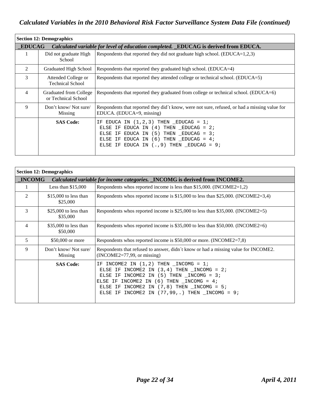| <b>Section 12: Demographics</b>                                                                      |                                                |                                                                                                                                                                                                                      |
|------------------------------------------------------------------------------------------------------|------------------------------------------------|----------------------------------------------------------------------------------------------------------------------------------------------------------------------------------------------------------------------|
| <b>EDUCAG</b><br>Calculated variable for level of education completed. EDUCAG is derived from EDUCA. |                                                |                                                                                                                                                                                                                      |
| 1                                                                                                    | Did not graduate High<br>School                | Respondents that reported they did not graduate high school. $(EDUCA=1,2,3)$                                                                                                                                         |
| 2                                                                                                    | Graduated High School                          | Respondents that reported they graduated high school. (EDUCA=4)                                                                                                                                                      |
| 3                                                                                                    | Attended College or<br><b>Technical School</b> | Respondents that reported they attended college or technical school. (EDUCA=5)                                                                                                                                       |
| $\overline{4}$                                                                                       | Graduated from College<br>or Technical School  | Respondents that reported they graduated from college or technical school. (EDUCA=6)                                                                                                                                 |
| 9                                                                                                    | Don't know/Not sure/<br>Missing                | Respondents that reported they did t know, were not sure, refused, or had a missing value for<br>EDUCA. (EDUCA=9, missing)                                                                                           |
|                                                                                                      | <b>SAS Code:</b>                               | IF EDUCA IN $(1,2,3)$ THEN EDUCAG = 1;<br>ELSE IF EDUCA IN $(4)$ THEN EDUCAG = 2;<br>ELSE IF EDUCA IN $(5)$ THEN EDUCAG = 3;<br>ELSE IF EDUCA IN $(6)$ THEN EDUCAG = 4;<br>ELSE IF EDUCA IN $(.,9)$ THEN EDUCAG = 9; |

| <b>Section 12: Demographics</b> |                                    |                                                                                                                                                                                                                                                                                                                                      |
|---------------------------------|------------------------------------|--------------------------------------------------------------------------------------------------------------------------------------------------------------------------------------------------------------------------------------------------------------------------------------------------------------------------------------|
| <b>INCOMG</b>                   |                                    | Calculated variable for income categories. _INCOMG is derived from INCOME2.                                                                                                                                                                                                                                                          |
|                                 | Less than $$15,000$                | Respondents whos reported income is less than \$15,000. (INCOME2=1,2)                                                                                                                                                                                                                                                                |
| 2                               | \$15,000 to less than<br>\$25,000  | Respondents whos reported income is $$15,000$ to less than $$25,000$ . (INCOME2=3,4)                                                                                                                                                                                                                                                 |
| 3                               | \$25,000 to less than<br>\$35,000  | Respondents whos reported income is \$25,000 to less than \$35,000. (INCOME2=5)                                                                                                                                                                                                                                                      |
| 4                               | $$35,000$ to less than<br>\$50,000 | Respondents whos reported income is \$35,000 to less than \$50,000. (INCOME2=6)                                                                                                                                                                                                                                                      |
| 5                               | \$50,000 or more                   | Respondents whos reported income is $$50,000$ or more. (INCOME2=7,8)                                                                                                                                                                                                                                                                 |
| 9                               | Don't know/Not sure/<br>Missing    | Respondents that refused to answer, didn't know or had a missing value for INCOME2.<br>$(INCOME2=77,99, or missing)$                                                                                                                                                                                                                 |
|                                 | <b>SAS Code:</b>                   | IF INCOME2 IN $(1,2)$ THEN $\_INCOMG = 1$ ;<br>ELSE IF INCOME2 IN $(3, 4)$ THEN $_{\text{INCONG}} = 2i$<br>ELSE IF INCOME2 IN $(5)$ THEN $_{\text{INCONG}} = 3$ ;<br>ELSE IF INCOME2 IN $(6)$ THEN $_{\text{INCONG}} = 4$ ;<br>ELSE IF INCOME2 IN $(7,8)$ THEN $\_INCOMG = 5$ ;<br>ELSE IF INCOME2 IN $(77, 99, .)$ THEN INCOMG = 9; |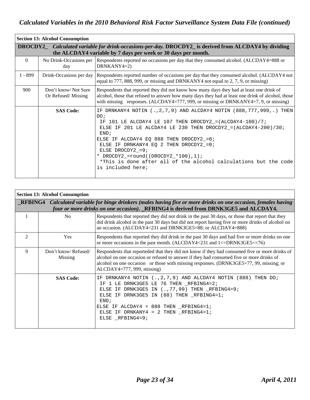| <b>Section 13: Alcohol Consumption</b>                                                                                                                                 |                                           |                                                                                                                                                                                                                                                                                                                                                                                                                                                                  |  |
|------------------------------------------------------------------------------------------------------------------------------------------------------------------------|-------------------------------------------|------------------------------------------------------------------------------------------------------------------------------------------------------------------------------------------------------------------------------------------------------------------------------------------------------------------------------------------------------------------------------------------------------------------------------------------------------------------|--|
| DROCDY2_Calculated variable for drink-occasions-per-day. DROCDY2_ is derived from ALCDAY4 by dividing<br>the ALCDAY4 variable by 7 days per week or 30 days per month. |                                           |                                                                                                                                                                                                                                                                                                                                                                                                                                                                  |  |
| $\theta$                                                                                                                                                               | day                                       | No Drink-Occasions per Respondents reported no occasions per day that they consumed alcohol. (ALCDAY4=888 or<br>$DRNKANY4=2)$                                                                                                                                                                                                                                                                                                                                    |  |
| $1 - 899$                                                                                                                                                              |                                           | Drink-Occasions per day Respondents reported number of occasions per day that they consumed alcohol. (ALCDAY4 not<br>equal to 777, 888, 999, or missing and DRNKANY4 not equal to 2, 7, 9, or missing)                                                                                                                                                                                                                                                           |  |
| 900                                                                                                                                                                    | Don't know/Not Sure<br>Or Refused/Missing | Respondents that reported they did not know how many days they had at least one drink of<br>alcohol, those that refused to answer how many days they had at least one drink of alcohol, those<br>with missing responses. $(ALCDAY4=777, 999, or missing or DRNKANY4=7, 9, or missing)$                                                                                                                                                                           |  |
|                                                                                                                                                                        | <b>SAS Code:</b>                          | IF DRNKANY4 NOTIN (., 2, 7, 9) AND ALCDAY4 NOTIN (888, 777, 999, .) THEN<br>DO:<br>101 LE ALCDAY4 LE 107 THEN DROCDY2_=(ALCDAY4-100)/7;<br>TF.<br>ELSE IF 201 LE ALCDAY4 LE 230 THEN DROCDY2_=(ALCDAY4-200)/30;<br>END:<br>ELSE IF ALCDAY4 EQ 888 THEN DROCDY2_=0;<br>ELSE IF DRNKANY4 EQ 2 THEN DROCDY2_=0;<br>ELSE DROCDY2_=9;<br>* DROCDY2_=round((DROCDY2_*100),1);<br>*This is done after all of the alcohol calculations but the code<br>is included here; |  |

|                | <b>Section 13: Alcohol Consumption</b> |                                                                                                                                                                                                                                                                                                                                 |  |
|----------------|----------------------------------------|---------------------------------------------------------------------------------------------------------------------------------------------------------------------------------------------------------------------------------------------------------------------------------------------------------------------------------|--|
|                |                                        | <b>_RFBING4</b> Calculated variable for binge drinkers (males having five or more drinks on one occasion, females having<br>four or more drinks on one occasion). RFBING4 is derived from DRNK3GE5 and ALCDAY4.                                                                                                                 |  |
|                | N <sub>0</sub>                         | Respondents that reported they did not drink in the past 30 days, or those that report that they<br>did drink alcohol in the past 30 days but did not report having five or more drinks of alcohol on<br>an occasion. (ALCDAY4<231 and DRNK3GE5=88; or ALCDAY4=888)                                                             |  |
| $\mathfrak{D}$ | Yes                                    | Respondents that reported they did drink in the past 30 days and had five or more drinks on one<br>or more occasions in the past month. (ALCDAY4<231 and $1\leq$ DRNK3GE5 $\leq$ =76)                                                                                                                                           |  |
| 9              | Don't know/Refused/<br>Missing         | Respondents that reporteded that they did not know if they had consumed five or more drinks of<br>alcohol on one occasion or refused to answer if they had consumed five or more drinks of<br>alcohol on one occasion or those with missing responses. (DRNK3GE5=77, 99, missing; or<br>$ALCDAY4=777, 999, missing)$            |  |
|                | <b>SAS Code:</b>                       | IF DRNKANY4 NOTIN (., 2, 7, 9) AND ALCDAY4 NOTIN (888) THEN DO;<br>IF 1 LE DRNK3GE5 LE 76 THEN _RFBING4=2;<br>ELSE IF DRNK3GE5 IN (., 77, 99) THEN _RFBING4=9;<br>ELSE IF DRNK3GE5 IN (88) THEN RFBING4=1;<br>END:<br>ELSE IF ALCDAY4 = $888$ THEN RFBING4=1;<br>ELSE IF DRNKANY4 = $2$ THEN $_R$ FBING4=1;<br>ELSE _RFBING4=9; |  |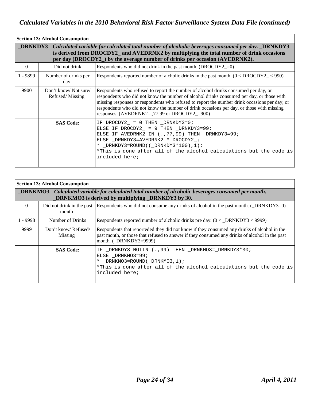| <b>Section 13: Alcohol Consumption</b> |                                                                                                                                                                                                                                                                                           |                                                                                                                                                                                                                                                                                                                                                                                                                                 |  |  |
|----------------------------------------|-------------------------------------------------------------------------------------------------------------------------------------------------------------------------------------------------------------------------------------------------------------------------------------------|---------------------------------------------------------------------------------------------------------------------------------------------------------------------------------------------------------------------------------------------------------------------------------------------------------------------------------------------------------------------------------------------------------------------------------|--|--|
|                                        | <b>DRNKDY3</b> Calculated variable for calculated total number of alcoholic beverages consumed per day. DRNKDY3<br>is derived from DROCDY2_ and AVEDRNK2 by multiplying the total number of drink occasions<br>per day (DROCDY2) by the average number of drinks per occasion (AVEDRNK2). |                                                                                                                                                                                                                                                                                                                                                                                                                                 |  |  |
| $\theta$                               | Did not drink                                                                                                                                                                                                                                                                             | Respondents who did not drink in the past month. $(DROCDY2_0)$                                                                                                                                                                                                                                                                                                                                                                  |  |  |
| $1 - 9899$                             | Number of drinks per<br>day                                                                                                                                                                                                                                                               | Respondents reported number of alcholic drinks in the past month. $(0 < DROCDY2_{-} < 990)$                                                                                                                                                                                                                                                                                                                                     |  |  |
| 9900                                   | Don't know/Not sure/<br>Refused/Missing                                                                                                                                                                                                                                                   | Respondents who refused to report the number of alcohol drinks consumed per day, or<br>respondents who did not know the number of alcohol drinks consumed per day, or those with<br>missing responses or respondents who refused to report the number drink occasions per day, or<br>respondents who did not know the number of drink occasions per day, or those with missing<br>responses. (AVEDRNK2=.,77,99 or DROCDY2_=900) |  |  |
|                                        | <b>SAS Code:</b>                                                                                                                                                                                                                                                                          | IF DROCDY2 = $0$ THEN DRNKDY3=0;<br>ELSE IF DROCDY2_ = $9$ THEN _DRNKDY3=99;<br>ELSE IF AVEDRNK2 IN (., 77, 99) THEN _DRNKDY3=99;<br>ELSE _DRNKDY3=AVEDRNK2 * DROCDY2_;<br>* _DRNKDY3=ROUND( $($ DRNKDY3*100),1);<br>*This is done after all of the alcohol calculations but the code is<br>included here;                                                                                                                      |  |  |

| <b>Section 13: Alcohol Consumption</b>                                                                                                                               |                                |                                                                                                                                                                                                                         |  |
|----------------------------------------------------------------------------------------------------------------------------------------------------------------------|--------------------------------|-------------------------------------------------------------------------------------------------------------------------------------------------------------------------------------------------------------------------|--|
| DRNKMO3 Calculated variable for calculated total number of alcoholic beverages consumed per month.<br><b>DRNKMO3</b> is derived by multiplying <b>DRNKDY3</b> by 30. |                                |                                                                                                                                                                                                                         |  |
| $\Omega$                                                                                                                                                             | month                          | Did not drink in the past Respondents who did not consume any drinks of alcohol in the past month. (_DRNKDY3=0)                                                                                                         |  |
| $1 - 9998$                                                                                                                                                           | Number of Drinks               | Respondents reported number of alcholic drinks pre day. $(0 < \text{DRNKDY3} < 9999)$                                                                                                                                   |  |
| 9999                                                                                                                                                                 | Don't know/Refused/<br>Missing | Respondents that reporteded they did not know if they consumed any drinks of alcohol in the<br>past month, or those that refused to answer if they consumed any drinks of alcohol in the past<br>month. (_DRNKDY3=9999) |  |
|                                                                                                                                                                      | <b>SAS Code:</b>               | IF _DRNKDY3 NOTIN (., 99) THEN _DRNKMO3=_DRNKDY3*30;<br>ELSE DRNKMO3=99;<br>* _DRNKMO3=ROUND(_DRNKMO3, $1$ );<br>*This is done after all of the alcohol calculations but the code is<br>included here;                  |  |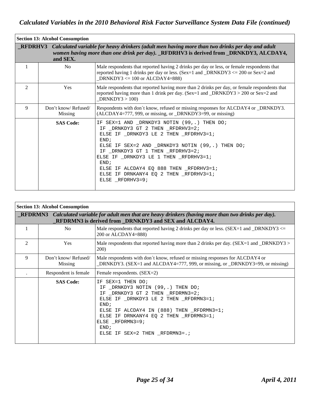| <b>Section 13: Alcohol Consumption</b>                                                                                                                                                                      |                                |                                                                                                                                                                                                                                                                                                                                                                                     |  |  |
|-------------------------------------------------------------------------------------------------------------------------------------------------------------------------------------------------------------|--------------------------------|-------------------------------------------------------------------------------------------------------------------------------------------------------------------------------------------------------------------------------------------------------------------------------------------------------------------------------------------------------------------------------------|--|--|
| RFDRHV3 Calculated variable for heavy drinkers (adult men having more than two drinks per day and adult<br>women having more than one drink per day). RFDRHV3 is derived from DRNKDY3, ALCDAY4,<br>and SEX. |                                |                                                                                                                                                                                                                                                                                                                                                                                     |  |  |
|                                                                                                                                                                                                             | N <sub>0</sub>                 | Male respondents that reported having 2 drinks per day or less, or female respondents that<br>reported having 1 drinks per day or less. (Sex=1 and _DRNKDY3 $\leq$ 200 or Sex=2 and<br>DRNKDY3 $\leq$ 100 or ALCDAY4=888)                                                                                                                                                           |  |  |
| $\overline{c}$                                                                                                                                                                                              | <b>Yes</b>                     | Male respondents that reported having more than 2 drinks per day, or female respondents that<br>reported having more than 1 drink per day. (Sex=1 and _DRNKDY3 > 200 or Sex=2 and<br>DRNKDY3 > 100                                                                                                                                                                                  |  |  |
| 9                                                                                                                                                                                                           | Don't know/Refused/<br>Missing | Respondents with don't know, refused or missing responses for ALCDAY4 or _DRNKDY3.<br>(ALCDAY4=777, 999, or missing, or _DRNKDY3=99, or missing)                                                                                                                                                                                                                                    |  |  |
|                                                                                                                                                                                                             | <b>SAS Code:</b>               | IF SEX=1 AND DRNKDY3 NOTIN (99,.) THEN DO;<br>IF _DRNKDY3 GT 2 THEN _RFDRHV3=2;<br>ELSE IF _DRNKDY3 LE 2 THEN _RFDRHV3=1;<br>END:<br>ELSE IF SEX=2 AND _DRNKDY3 NOTIN (99,.) THEN DO;<br>IF _DRNKDY3 GT 1 THEN _RFDRHV3=2;<br>ELSE IF _DRNKDY3 LE 1 THEN _RFDRHV3=1;<br>END;<br>ELSE IF ALCDAY4 EQ 888 THEN _RFDRHV3=1;<br>ELSE IF DRNKANY4 EQ 2 THEN RFDRHV3=1;<br>ELSE RFDRHV3=9; |  |  |

| <b>Section 13: Alcohol Consumption</b>                                                                                                                           |                                |                                                                                                                                                                                                                                                                                               |  |  |
|------------------------------------------------------------------------------------------------------------------------------------------------------------------|--------------------------------|-----------------------------------------------------------------------------------------------------------------------------------------------------------------------------------------------------------------------------------------------------------------------------------------------|--|--|
| RFDRMN3 Calculated variable for adult men that are heavy drinkers (having more than two drinks per day).<br>RFDRMN3 is derived from DRNKDY3 and SEX and ALCDAY4. |                                |                                                                                                                                                                                                                                                                                               |  |  |
|                                                                                                                                                                  | No.                            | Male respondents that reported having 2 drinks per day or less. ( $SEX=1$ and $\_DRNKDY3 \leq$<br>200 or ALCDAY4=888)                                                                                                                                                                         |  |  |
| $\mathfrak{D}$                                                                                                                                                   | <b>Yes</b>                     | Male respondents that reported having more than 2 drinks per day. $(SEX=1$ and $_DRNKDY3>$<br>200)                                                                                                                                                                                            |  |  |
| 9                                                                                                                                                                | Don't know/Refused/<br>Missing | Male respondents with don't know, refused or missing responses for ALCDAY4 or<br>DRNKDY3. (SEX=1 and ALCDAY4=777, 999, or missing, or _DRNKDY3=99, or missing)                                                                                                                                |  |  |
|                                                                                                                                                                  | Respondent is female           | Female respondents. (SEX=2)                                                                                                                                                                                                                                                                   |  |  |
|                                                                                                                                                                  | <b>SAS Code:</b>               | IF SEX=1 THEN DO;<br>IF _DRNKDY3 NOTIN (99,.) THEN DO;<br>IF DRNKDY3 GT 2 THEN RFDRMN3=2;<br>ELSE IF _DRNKDY3 LE 2 THEN _RFDRMN3=1;<br>END:<br>ELSE IF ALCDAY4 IN (888) THEN RFDRMN3=1;<br>ELSE IF DRNKANY4 EQ 2 THEN _RFDRMN3=1;<br>ELSE RFDRMN3=9;<br>END:<br>ELSE IF SEX=2 THEN RFDRMN3=.; |  |  |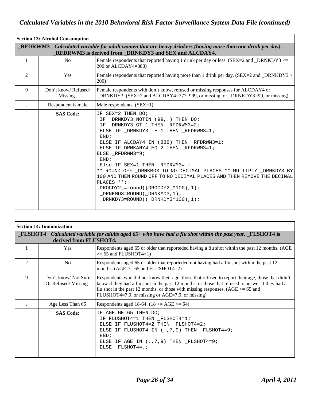| <b>Section 13: Alcohol Consumption</b> |                                                                                                                                                                          |                                                                                                                                                                                                                                                                                                                                                                                                                                                                                                                                                                               |  |  |  |
|----------------------------------------|--------------------------------------------------------------------------------------------------------------------------------------------------------------------------|-------------------------------------------------------------------------------------------------------------------------------------------------------------------------------------------------------------------------------------------------------------------------------------------------------------------------------------------------------------------------------------------------------------------------------------------------------------------------------------------------------------------------------------------------------------------------------|--|--|--|
|                                        | <b>REDRWM3</b> Calculated variable for adult women that are heavy drinkers (having more than one drink per day).<br>RFDRWM3 is derived from DRNKDY3 and SEX and ALCDAY4. |                                                                                                                                                                                                                                                                                                                                                                                                                                                                                                                                                                               |  |  |  |
| 1                                      | No                                                                                                                                                                       | Female respondents that reported having 1 drink per day or less. (SEX=2 and _DRNKDY3 $\le$ =<br>200 or ALCDAY4=888)                                                                                                                                                                                                                                                                                                                                                                                                                                                           |  |  |  |
| $\overline{2}$                         | Yes                                                                                                                                                                      | Female respondents that reported having more than 1 drink per day. (SEX=2 and _DRNKDY3 ><br>200)                                                                                                                                                                                                                                                                                                                                                                                                                                                                              |  |  |  |
| 9                                      | Don't know/Refused/<br>Missing                                                                                                                                           | Female respondents with don't know, refused or missing responses for ALCDAY4 or<br>DRNKDY3. (SEX=2 and ALCDAY4=777, 999, or missing, or _DRNKDY3=99, or missing)                                                                                                                                                                                                                                                                                                                                                                                                              |  |  |  |
|                                        | Respondent is male                                                                                                                                                       | Male respondents. (SEX=1)                                                                                                                                                                                                                                                                                                                                                                                                                                                                                                                                                     |  |  |  |
|                                        | <b>SAS Code:</b>                                                                                                                                                         | IF SEX=2 THEN DO;<br>IF _DRNKDY3 NOTIN (99,.) THEN DO;<br>IF DRNKDY3 GT 1 THEN RFDRWM3=2;<br>ELSE IF DRNKDY3 LE 1 THEN RFDRWM3=1;<br>END;<br>ELSE IF ALCDAY4 IN (888) THEN RFDRWM3=1;<br>ELSE IF DRNKANY4 EQ 2 THEN RFDRWM3=1;<br>ELSE _RFDRWM3=9;<br>END:<br>Else IF SEX=1 THEN RFDRWM3=.;<br>** ROUND OFF DRNKMO3 TO NO DECIMAL PLACES ** MULTIPLY DRNKDY3 BY<br>100 AND THEN ROUND OFF TO NO DECIMAL PLACES AND THEN REMOVE THE DECIMAL<br>PLACES **;<br>DROCDY2_=round( $(DROCDY2.*100)$ , 1);<br>$DRNKMO3 = ROUND(DRNKMO3, 1);$<br>$DRNKDY3 = ROUND( (DRNKDY3*100), 1);$ |  |  |  |

|                | <b>Section 14: Immunization</b>           |                                                                                                                                                                                                                                                                                                                                                  |  |  |
|----------------|-------------------------------------------|--------------------------------------------------------------------------------------------------------------------------------------------------------------------------------------------------------------------------------------------------------------------------------------------------------------------------------------------------|--|--|
|                | derived from FLUSHOT4.                    | <b>FLSHOT4</b> Calculated variable for adults aged 65+ who have had a flu shot within the past year. FLSHOT4 is                                                                                                                                                                                                                                  |  |  |
|                | <b>Yes</b>                                | Respondents aged 65 or older that reporteded having a flu shot within the past 12 months. (AGE<br>$>= 65$ and FLUSHOT4=1)                                                                                                                                                                                                                        |  |  |
| $\mathfrak{D}$ | N <sub>o</sub>                            | Respondents aged 65 or older that reporteded not having had a flu shot within the past 12<br>months. $(AGE \geq 65$ and FLUSHOT4=2)                                                                                                                                                                                                              |  |  |
| 9              | Don't know/Not Sure<br>Or Refused/Missing | Respondents who did not know their age, those that refused to report their age, those that didn't<br>know if they had a flu shot in the past 12 months, or those that refused to answer if they had a<br>flu shot in the past 12 months, or those with missing responses. ( $AGE \ge 65$ and<br>FLUSHOT4=7,9, or missing or AGE=7,9, or missing) |  |  |
|                | Age Less Than 65                          | Respondents aged 18-64. (18 $\leq$ AGE $\leq$ 64)                                                                                                                                                                                                                                                                                                |  |  |
|                | <b>SAS Code:</b>                          | AGE GE 65 THEN DO;<br>TF.<br>IF FLUSHOT4=1 THEN FLSHOT4=1;<br>ELSE IF FLUSHOT4=2 THEN _FLSHOT4=2;<br>ELSE IF FLUSHOT4 IN $(., 7, 9)$ THEN $_F$ LSHOT4=9;<br>END:<br>ELSE IF AGE IN $(., 7, 9)$ THEN FLSHOT4=9;<br>ELSE FLSHOT4=.;                                                                                                                |  |  |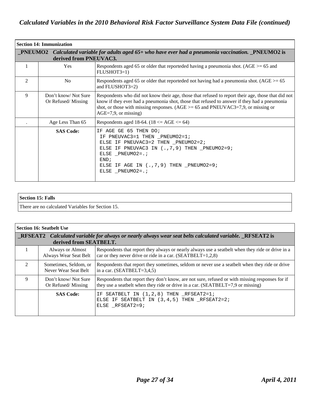| <b>Section 14: Immunization</b> |                                                                                                                                           |                                                                                                                                                                                                                                                                                                                        |  |  |
|---------------------------------|-------------------------------------------------------------------------------------------------------------------------------------------|------------------------------------------------------------------------------------------------------------------------------------------------------------------------------------------------------------------------------------------------------------------------------------------------------------------------|--|--|
|                                 | $\_$ PNEUMO2 Calculated variable for adults aged 65+ who have ever had a pneumonia vaccination. $\_$ PNEUMO2 is<br>derived from PNEUVAC3. |                                                                                                                                                                                                                                                                                                                        |  |  |
|                                 | Yes                                                                                                                                       | Respondents aged 65 or older that reporteded having a pneumonia shot. ( $AGE \ge 65$ and<br>FLUSHOT3=1)                                                                                                                                                                                                                |  |  |
| $\overline{c}$                  | No                                                                                                                                        | Respondents aged 65 or older that reporteded not having had a pneumonia shot. $(AGE \ge 65$<br>and FLUSHOT3=2)                                                                                                                                                                                                         |  |  |
| 9                               | Don't know/Not Sure<br>Or Refused/Missing                                                                                                 | Respondents who did not know their age, those that refused to report their age, those that did not<br>know if they ever had a pneumonia shot, those that refused to answer if they had a pneumonia<br>shot, or those with missing responses. ( $AGE \ge 65$ and PNEUVAC3=7,9, or missing or<br>$AGE=7,9$ , or missing) |  |  |
|                                 | Age Less Than 65                                                                                                                          | Respondents aged 18-64. $(18 \le AGE \le 64)$                                                                                                                                                                                                                                                                          |  |  |
|                                 | <b>SAS Code:</b>                                                                                                                          | IF AGE GE 65 THEN DO;<br>IF PNEUVAC3=1 THEN _PNEUMO2=1;<br>ELSE IF PNEUVAC3=2 THEN _PNEUMO2=2;<br>ELSE IF PNEUVAC3 IN (., 7, 9) THEN _PNEUMO2=9;<br>ELSE _PNEUMO2= $:$<br>END <sub>i</sub><br>ELSE IF AGE IN $(., 7, 9)$ THEN _PNEUMO2=9;<br>ELSE PNEUMO2=.;                                                           |  |  |

| Section 15: Falls                                 |  |
|---------------------------------------------------|--|
| There are no calculated Variables for Section 15. |  |

| <b>Section 16: Seatbelt Use</b> |                                                                                                                                          |                                                                                                                                                                                        |  |
|---------------------------------|------------------------------------------------------------------------------------------------------------------------------------------|----------------------------------------------------------------------------------------------------------------------------------------------------------------------------------------|--|
|                                 | <b>RESEAT2</b> Calculated variable for always or nearly always wear seat belts calculated variable. RESEAT2 is<br>derived from SEATBELT. |                                                                                                                                                                                        |  |
|                                 | Always or Almost<br>Always Wear Seat Belt                                                                                                | Respondents that report they always or nearly always use a seatbelt when they ride or drive in a<br>car or they never drive or ride in a car. $(SEATBELT=1,2,8)$                       |  |
| $\mathcal{D}$                   | Sometimes, Seldom, or<br>Never Wear Seat Belt                                                                                            | Respondents that report they sometimes, seldom or never use a seatbelt when they ride or drive<br>in a car. $(SEATBELT=3,4,5)$                                                         |  |
| 9                               | Don't know/Not Sure<br>Or Refused/Missing                                                                                                | Respondents that report they don't know, are not sure, refused or with missing responses for if<br>they use a seatbelt when they ride or drive in a car. $(SEATBELT = 7.9$ or missing) |  |
|                                 | <b>SAS Code:</b>                                                                                                                         | SEATBELT IN $(1,2,8)$ THEN RFSEAT2=1;<br>ΙF<br>ELSE IF SEATBELT IN (3,4,5) THEN RFSEAT2=2;<br>ELSE RFSEAT2=9;                                                                          |  |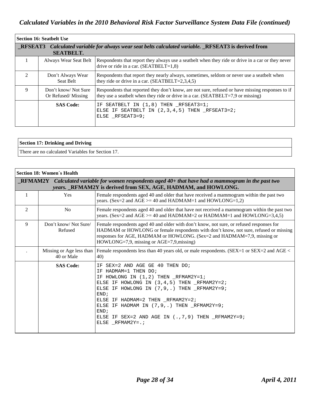| l Section 16: Seatbelt Use |                                                                                                                                |                                                                                                                                                                                     |  |
|----------------------------|--------------------------------------------------------------------------------------------------------------------------------|-------------------------------------------------------------------------------------------------------------------------------------------------------------------------------------|--|
|                            | <b>RESEAT3</b> Calculated variable for always wear seat belts calculated variable. RESEAT3 is derived from<br><b>SEATBELT.</b> |                                                                                                                                                                                     |  |
|                            | Always Wear Seat Belt                                                                                                          | Respondents that report they always use a seatbelt when they ride or drive in a car or they never<br>drive or ride in a car. $(SEATBELT=1,8)$                                       |  |
| $\mathcal{D}$              | Don't Always Wear<br>Seat Belt                                                                                                 | Respondents that report they nearly always, sometimes, seldom or never use a seatbelt when<br>they ride or drive in a car. $(SEATBELT=2,3,4,5)$                                     |  |
| 9                          | Don't know/Not Sure<br>Or Refused/Missing                                                                                      | Respondents that reported they don't know, are not sure, refused or have missing responses to if<br>they use a seatbelt when they ride or drive in a car. (SEATBELT=7,9 or missing) |  |
|                            | <b>SAS Code:</b>                                                                                                               | SEATBELT IN $(1,8)$ THEN RFSEAT3=1;<br>ΙF.<br>ELSE IF SEATBELT IN $(2,3,4,5)$ THEN RFSEAT3=2;<br>ELSE RFSEAT3=9;                                                                    |  |

### **Section 17: Drinking and Driving**

There are no calculated Variables for Section 17.

| Section 18: Women's Health                                                                                                                                                           |                                        |                                                                                                                                                                                                                                                                                                                                                                                            |
|--------------------------------------------------------------------------------------------------------------------------------------------------------------------------------------|----------------------------------------|--------------------------------------------------------------------------------------------------------------------------------------------------------------------------------------------------------------------------------------------------------------------------------------------------------------------------------------------------------------------------------------------|
| $\blacksquare$ RFMAM2Y Calculated variable for women respondents aged 40+ that have had a mammogram in the past two<br>years. RFMAM2Y is derived from SEX, AGE, HADMAM, and HOWLONG. |                                        |                                                                                                                                                                                                                                                                                                                                                                                            |
|                                                                                                                                                                                      | Yes                                    | Female respondents aged 40 and older that have received a mammogram within the past two<br>years. (Sex=2 and AGE $>=$ 40 and HADMAM=1 and HOWLONG=1,2)                                                                                                                                                                                                                                     |
| 2                                                                                                                                                                                    | N <sub>0</sub>                         | Female respondents aged 40 and older that have not received a mammogram within the past two<br>years. (Sex=2 and AGE $>=$ 40 and HADMAM=2 or HADMAM=1 and HOWLONG=3,4,5)                                                                                                                                                                                                                   |
| 9                                                                                                                                                                                    | Don't know/Not Sure/<br>Refused        | Female respondents aged 40 and older with don't know, not sure, or refused responses for<br>HADMAM or HOWLONG or female respondents with don't know, not sure, refused or missing<br>responses for AGE, HADMAM or HOWLONG. (Sex=2 and HADMAM=7,9, missing or<br>$HOWLONG=7.9$ , missing or $AGE=7.9$ , missing)                                                                            |
|                                                                                                                                                                                      | Missing or Age less than<br>40 or Male | Female respondents less than 40 years old, or male respondents. (SEX=1 or SEX=2 and AGE <<br>40)                                                                                                                                                                                                                                                                                           |
|                                                                                                                                                                                      | <b>SAS Code:</b>                       | SEX=2 AND AGE GE 40 THEN DO;<br>TF.<br>IF HADMAM=1 THEN DO;<br>IF HOWLONG IN (1,2) THEN RFMAM2Y=1;<br>ELSE IF HOWLONG IN (3,4,5) THEN _RFMAM2Y=2;<br>ELSE IF HOWLONG IN (7,9,.) THEN RFMAM2Y=9;<br>END <sub>i</sub><br>ELSE IF HADMAM=2 THEN RFMAM2Y=2;<br>ELSE IF HADMAM IN (7,9,.) THEN _RFMAM2Y=9;<br>END;<br>ELSE IF SEX=2 AND AGE IN $(.,7,9)$ THEN $_R$ FMAM2Y=9;<br>ELSE RFMAM2Y=.; |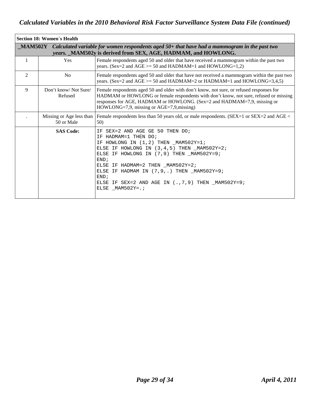| Section 18: Women's Health                                                                                                                                                |                                        |                                                                                                                                                                                                                                                                                                                                                                                             |
|---------------------------------------------------------------------------------------------------------------------------------------------------------------------------|----------------------------------------|---------------------------------------------------------------------------------------------------------------------------------------------------------------------------------------------------------------------------------------------------------------------------------------------------------------------------------------------------------------------------------------------|
| $\_MAM502Y$ Calculated variable for women respondents aged 50+ that have had a mammogram in the past two<br>years. MAM502y is derived from SEX, AGE, HADMAM, and HOWLONG. |                                        |                                                                                                                                                                                                                                                                                                                                                                                             |
| 1                                                                                                                                                                         | Yes                                    | Female respondents aged 50 and older that have received a mammogram within the past two<br>years. (Sex=2 and AGE $>=$ 50 and HADMAM=1 and HOWLONG=1,2)                                                                                                                                                                                                                                      |
| $\overline{2}$                                                                                                                                                            | N <sub>0</sub>                         | Female respondents aged 50 and older that have not received a mammogram within the past two<br>years. (Sex=2 and AGE $>=$ 50 and HADMAM=2 or HADMAM=1 and HOWLONG=3,4,5)                                                                                                                                                                                                                    |
| 9                                                                                                                                                                         | Don't know/Not Sure/<br>Refused        | Female respondents aged 50 and older with don't know, not sure, or refused responses for<br>HADMAM or HOWLONG or female respondents with don't know, not sure, refused or missing<br>responses for AGE, HADMAM or HOWLONG. (Sex=2 and HADMAM=7,9, missing or<br>$HOWLONG=7.9$ , missing or $AGE=7.9$ , missing)                                                                             |
|                                                                                                                                                                           | Missing or Age less than<br>50 or Male | Female respondents less than 50 years old, or male respondents. (SEX=1 or SEX=2 and AGE <<br>50)                                                                                                                                                                                                                                                                                            |
|                                                                                                                                                                           | <b>SAS Code:</b>                       | SEX=2 AND AGE GE 50 THEN DO;<br>ΙF<br>IF HADMAM=1 THEN DO;<br>IF HOWLONG IN (1,2) THEN MAM502Y=1;<br>ELSE IF HOWLONG IN $(3, 4, 5)$ THEN $_MAM502Y=2$ ;<br>ELSE IF HOWLONG IN (7,9) THEN MAM502Y=9;<br>END:<br>ELSE IF HADMAM=2 THEN MAM502Y=2;<br>ELSE IF HADMAM IN $(7, 9, .)$ THEN $_MAM502Y=9;$<br>END;<br>ELSE IF SEX=2 AND AGE IN $(.,7,9)$ THEN $_MAM502Y=9;$<br>ELSE $MAM502Y = .7$ |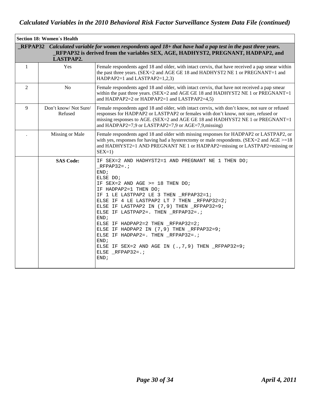| <b>Section 18: Women's Health</b>                                                                                                                                                                                       |                                 |                                                                                                                                                                                                                                                                                                                                                                                                                                                                                                                                                                     |
|-------------------------------------------------------------------------------------------------------------------------------------------------------------------------------------------------------------------------|---------------------------------|---------------------------------------------------------------------------------------------------------------------------------------------------------------------------------------------------------------------------------------------------------------------------------------------------------------------------------------------------------------------------------------------------------------------------------------------------------------------------------------------------------------------------------------------------------------------|
| <b>RFPAP32</b> Calculated variable for women respondents aged $18+$ that have had a pap test in the past three years.<br>_RFPAP32 is derived from the variables SEX, AGE, HADHYST2, PREGNANT, HADPAP2, and<br>LASTPAP2. |                                 |                                                                                                                                                                                                                                                                                                                                                                                                                                                                                                                                                                     |
| $\mathbf{1}$                                                                                                                                                                                                            | Yes                             | Female respondents aged 18 and older, with intact cervix, that have received a pap smear within<br>the past three years. (SEX=2 and AGE GE 18 and HADHYST2 NE 1 or PREGNANT=1 and<br>HADPAP2=1 and LASTPAP2=1,2,3)                                                                                                                                                                                                                                                                                                                                                  |
| 2                                                                                                                                                                                                                       | N <sub>o</sub>                  | Female respondents aged 18 and older, with intact cervix, that have not received a pap smear<br>within the past three years. (SEX=2 and AGE GE 18 and HADHYST2 NE 1 or PREGNANT=1<br>and HADPAP2=2 or HADPAP2=1 and LASTPAP2=4,5)                                                                                                                                                                                                                                                                                                                                   |
| 9                                                                                                                                                                                                                       | Don't know/Not Sure/<br>Refused | Female respondents aged 18 and older, with intact cervix, with don't know, not sure or refused<br>responses for HADPAP2 or LASTPAP2 or females with don't know, not sure, refused or<br>missing responses to AGE. (SEX=2 and AGE GE 18 and HADHYST2 NE 1 or PREGNANT=1<br>and HADPAP2=7,9 or LASTPAP2=7,9 or AGE=7,9, missing)                                                                                                                                                                                                                                      |
|                                                                                                                                                                                                                         | Missing or Male                 | Female respondents aged 18 and older with missing responses for HADPAP2 or LASTPAP2, or<br>with yes, responses for having had a hysterectomy or male respondents. (SEX=2 and AGE $>=18$ )<br>and HADHYST2=1 AND PREGNANT NE 1 or HADPAP2=missing or LASTPAP2=missing or<br>$SEX=1$                                                                                                                                                                                                                                                                                  |
|                                                                                                                                                                                                                         | <b>SAS Code:</b>                | IF SEX=2 AND HADHYST2=1 AND PREGNANT NE 1 THEN DO;<br>$RFPAP32 = .7$<br>END;<br>ELSE DO;<br>IF SEX=2 AND AGE >= $18$ THEN DO;<br>IF HADPAP2=1 THEN DO;<br>IF 1 LE LASTPAP2 LE 3 THEN _RFPAP32=1;<br>ELSE IF 4 LE LASTPAP2 LT 7 THEN RFPAP32=2;<br>ELSE IF LASTPAP2 IN (7,9) THEN _RFPAP32=9;<br>ELSE IF LASTPAP2=. THEN _RFPAP32=.;<br>END;<br>ELSE IF HADPAP2=2 THEN _RFPAP32=2;<br>ELSE IF HADPAP2 IN (7,9) THEN RFPAP32=9;<br>ELSE IF HADPAP2=. THEN _RFPAP32=.;<br>END;<br>ELSE IF SEX=2 AND AGE IN $(.,7,9)$ THEN $_RFPAP32=9;$<br>ELSE $_RFPAP32=$ .;<br>END; |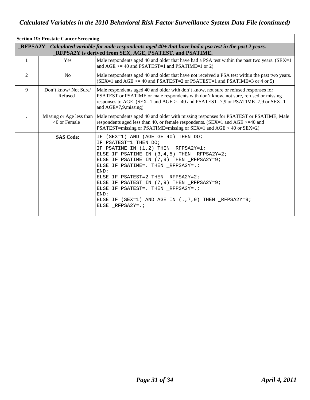| <b>Section 19: Prostate Cancer Screening</b>                                                                                                                                |                                          |                                                                                                                                                                                                                                                                                                                                                                                                                                                                              |
|-----------------------------------------------------------------------------------------------------------------------------------------------------------------------------|------------------------------------------|------------------------------------------------------------------------------------------------------------------------------------------------------------------------------------------------------------------------------------------------------------------------------------------------------------------------------------------------------------------------------------------------------------------------------------------------------------------------------|
| <b>RFPSA2Y</b> Calculated variable for male respondents aged $40+$ that have had a psa test in the past 2 years.<br>RFPSA2Y is derived from SEX, AGE, PSATEST, and PSATIME. |                                          |                                                                                                                                                                                                                                                                                                                                                                                                                                                                              |
| 1                                                                                                                                                                           | Yes                                      | Male respondents aged 40 and older that have had a PSA test within the past two years. (SEX=1)<br>and $AGE$ >= 40 and PSATEST=1 and PSATIME=1 or 2)                                                                                                                                                                                                                                                                                                                          |
| $\overline{2}$                                                                                                                                                              | N <sub>o</sub>                           | Male respondents aged 40 and older that have not received a PSA test within the past two years.<br>$(SEX=1$ and $AGE$ >= 40 and PSATEST=2 or PSATEST=1 and PSATIME=3 or 4 or 5)                                                                                                                                                                                                                                                                                              |
| 9                                                                                                                                                                           | Don't know/Not Sure/<br>Refused          | Male respondents aged 40 and older with don't know, not sure or refused responses for<br>PSATEST or PSATIME or male respondents with don't know, not sure, refused or missing<br>responses to AGE. (SEX=1 and AGE >= 40 and PSATEST=7,9 or PSATIME=7,9 or SEX=1<br>and $AGE=7.9$ , missing)                                                                                                                                                                                  |
|                                                                                                                                                                             | Missing or Age less than<br>40 or Female | Male respondents aged 40 and older with missing responses for PSATEST or PSATIME, Male<br>respondents aged less than 40, or female respondents. (SEX=1 and AGE >=40 and<br>PSATEST=missing or PSATIME=missing or SEX=1 and AGE < 40 or SEX=2)                                                                                                                                                                                                                                |
|                                                                                                                                                                             | <b>SAS Code:</b>                         | IF (SEX=1) AND (AGE GE 40) THEN DO;<br>IF PSATEST=1 THEN DO;<br>IF PSATIME IN (1,2) THEN RFPSA2Y=1;<br>ELSE IF PSATIME IN $(3, 4, 5)$ THEN RFPSA2Y=2;<br>ELSE IF PSATIME IN (7,9) THEN RFPSA2Y=9;<br>ELSE IF PSATIME=. THEN RFPSA2Y=.;<br>END <sub>i</sub><br>ELSE IF PSATEST=2 THEN RFPSA2Y=2;<br>ELSE IF PSATEST IN (7,9) THEN RFPSA2Y=9;<br>ELSE IF PSATEST=. THEN _RFPSA2Y=.;<br>END;<br>ELSE IF (SEX=1) AND AGE IN $(., 7, 9)$ THEN $_RPPSA2Y=9;$<br>ELSE RFPSA2Y=. $;$ |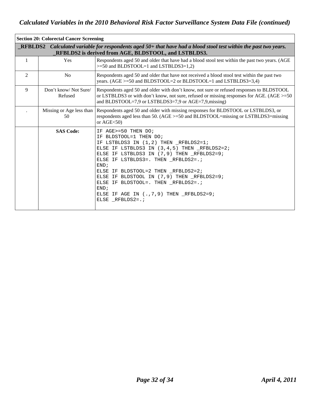| <b>Section 20: Colorectal Cancer Screening</b>                                                                                                                                    |                                 |                                                                                                                                                                                                                                                                                                                                                                                                                                         |
|-----------------------------------------------------------------------------------------------------------------------------------------------------------------------------------|---------------------------------|-----------------------------------------------------------------------------------------------------------------------------------------------------------------------------------------------------------------------------------------------------------------------------------------------------------------------------------------------------------------------------------------------------------------------------------------|
| <b>RFBLDS2</b> Calculated variable for respondents aged $50+$ that have had a blood stool test within the past two years.<br>RFBLDS2 is derived from AGE, BLDSTOOL, and LSTBLDS3. |                                 |                                                                                                                                                                                                                                                                                                                                                                                                                                         |
| 1                                                                                                                                                                                 | <b>Yes</b>                      | Respondents aged 50 and older that have had a blood stool test within the past two years. (AGE<br>$>=50$ and BLDSTOOL=1 and LSTBLDS3=1,2)                                                                                                                                                                                                                                                                                               |
| $\overline{2}$                                                                                                                                                                    | N <sub>o</sub>                  | Respondents aged 50 and older that have not received a blood stool test within the past two<br>years. (AGE >=50 and BLDSTOOL=2 or BLDSTOOL=1 and LSTBLDS3=3,4)                                                                                                                                                                                                                                                                          |
| 9                                                                                                                                                                                 | Don't know/Not Sure/<br>Refused | Respondents aged 50 and older with don't know, not sure or refused responses to BLDSTOOL<br>or LSTBLDS3 or with don't know, not sure, refused or missing responses for AGE. (AGE $>=50$<br>and BLDSTOOL=7,9 or LSTBLDS3=7,9 or AGE=7,9, missing)                                                                                                                                                                                        |
|                                                                                                                                                                                   | 50                              | Missing or Age less than   Respondents aged 50 and older with missing responses for BLDSTOOL or LSTBLDS3, or<br>respondents aged less than 50. (AGE >=50 and BLDSTOOL=missing or LSTBLDS3=missing<br>or AGE $<$ 50)                                                                                                                                                                                                                     |
|                                                                                                                                                                                   | <b>SAS Code:</b>                | IF AGE>=50 THEN DO;<br>BLDSTOOL=1 THEN DO;<br>TF.<br>IF LSTBLDS3 IN (1,2) THEN RFBLDS2=1;<br>ELSE IF LSTBLDS3 IN (3,4,5) THEN RFBLDS2=2;<br>ELSE IF LSTBLDS3 IN (7,9) THEN RFBLDS2=9;<br>ELSE IF LSTBLDS3=. THEN _RFBLDS2=.;<br>END:<br>ELSE IF BLDSTOOL=2 THEN RFBLDS2=2;<br>ELSE IF BLDSTOOL IN (7,9) THEN _RFBLDS2=9;<br>ELSE IF BLDSTOOL=. THEN RFBLDS2=.;<br>END;<br>ELSE IF AGE IN $(.,7,9)$ THEN RFBLDS2=9;<br>ELSE RFBLDS2= $:$ |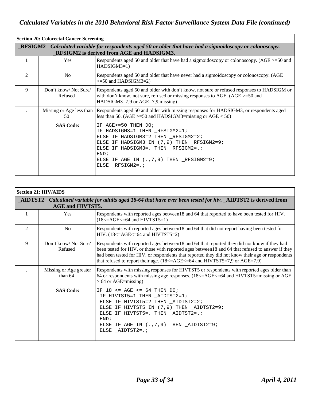| <b>Section 20: Colorectal Cancer Screening</b>                                                                                                                 |                                 |                                                                                                                                                                                                                                                           |  |
|----------------------------------------------------------------------------------------------------------------------------------------------------------------|---------------------------------|-----------------------------------------------------------------------------------------------------------------------------------------------------------------------------------------------------------------------------------------------------------|--|
| <b>RESIGM2</b> Calculated variable for respondents aged 50 or older that have had a sigmoidoscopy or colonoscopy.<br>RFSIGM2 is derived from AGE and HADSIGM3. |                                 |                                                                                                                                                                                                                                                           |  |
| 1                                                                                                                                                              | Yes                             | Respondents aged 50 and older that have had a sigmoidoscopy or colonoscopy. $(AGE \geq 50$ and<br>$HADSIGM3=1)$                                                                                                                                           |  |
| $\mathfrak{D}$                                                                                                                                                 | N <sub>0</sub>                  | Respondents aged 50 and older that have never had a sigmoidoscopy or colonoscopy. (AGE<br>$>=50$ and HADSIGM3=2)                                                                                                                                          |  |
| 9                                                                                                                                                              | Don't know/Not Sure/<br>Refused | Respondents aged 50 and older with don't know, not sure or refused responses to HADSIGM or<br>with don't know, not sure, refused or missing responses to AGE. (AGE $>=$ 50 and<br>HADSIGM3=7,9 or AGE=7,9, missing)                                       |  |
|                                                                                                                                                                | 50                              | Missing or Age less than Respondents aged 50 and older with missing responses for HADSIGM3, or respondents aged<br>less than 50. (AGE $>=$ 50 and HADSIGM3=missing or AGE $<$ 50)                                                                         |  |
|                                                                                                                                                                | <b>SAS Code:</b>                | IF AGE>=50 THEN DO;<br>IF HADSIGM3=1 THEN _RFSIGM2=1;<br>ELSE IF HADSIGM3=2 THEN _RFSIGM2=2;<br>ELSE IF HADSIGM3 IN (7,9) THEN RFSIGM2=9;<br>ELSE IF HADSIGM3=. THEN _RFSIGM2=.;<br>END:<br>ELSE IF AGE IN $(., 7, 9)$ THEN RFSIGM2=9;<br>ELSE RFSIGM2=.; |  |

| <b>Section 21: HIV/AIDS</b>                                                                                                              |                                   |                                                                                                                                                                                                                                                                                                                                                                                     |
|------------------------------------------------------------------------------------------------------------------------------------------|-----------------------------------|-------------------------------------------------------------------------------------------------------------------------------------------------------------------------------------------------------------------------------------------------------------------------------------------------------------------------------------------------------------------------------------|
| AIDTST2 Calculated variable for adults aged 18-64 that have ever been tested for hiv. AIDTST2 is derived from<br><b>AGE and HIVTST5.</b> |                                   |                                                                                                                                                                                                                                                                                                                                                                                     |
|                                                                                                                                          | Yes                               | Respondents with reported ages between 18 and 64 that reported to have been tested for HIV.<br>$(18\leq ACE\leq=64$ and HIVTST5=1)                                                                                                                                                                                                                                                  |
| $\overline{2}$                                                                                                                           | N <sub>0</sub>                    | Respondents with reported ages between 18 and 64 that did not report having been tested for<br>HIV. $(18\leq AGE\leq 64$ and HIVTST5=2)                                                                                                                                                                                                                                             |
| 9                                                                                                                                        | Don't know/Not Sure/<br>Refused   | Respondents with reported ages between 18 and 64 that reported they did not know if they had<br>been tested for HIV, or those with reported ages between 18 and 64 that refused to answer if they<br>had been tested for HIV. or respondents that reported they did not know their age or respondents<br>that refused to report their age. (18<=AGE<=64 and HIVTST5=7,9 or AGE=7,9) |
|                                                                                                                                          | Missing or Age greater<br>than 64 | Respondents with missing responses for HIVTST5 or respondents with reported ages older than<br>64 or respondents with missing age responses. (18<=AGE<=64 and HIVTST5=missing or AGE<br>$> 64$ or AGE=missing)                                                                                                                                                                      |
|                                                                                                                                          | <b>SAS Code:</b>                  | IF $18 \leq$ AGE $\leq$ 64 THEN DO;<br>IF HIVTST5=1 THEN _AIDTST2=1;<br>ELSE IF HIVTST5=2 THEN _AIDTST2=2;<br>ELSE IF HIVTST5 IN (7,9) THEN _AIDTST2=9;<br>ELSE IF HIVTST5=. THEN _AIDTST2=.;<br>END:<br>ELSE IF AGE IN $(., 7, 9)$ THEN $_\text{ALDTST2=9}$ ;<br>ELSE _AIDTST2=.;                                                                                                  |